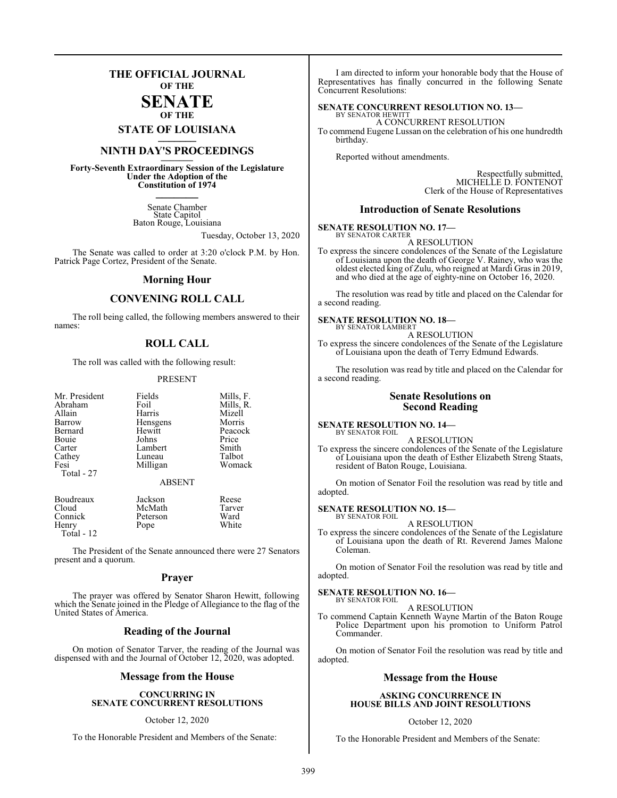## **THE OFFICIAL JOURNAL OF THE**

#### **SENATE OF THE**

**STATE OF LOUISIANA \_\_\_\_\_\_\_**

## **NINTH DAY'S PROCEEDINGS \_\_\_\_\_\_\_**

**Forty-Seventh Extraordinary Session of the Legislature Under the Adoption of the Constitution of 1974 \_\_\_\_\_\_\_**

> Senate Chamber State Capitol Baton Rouge, Louisiana

> > Tuesday, October 13, 2020

The Senate was called to order at 3:20 o'clock P.M. by Hon. Patrick Page Cortez, President of the Senate.

#### **Morning Hour**

### **CONVENING ROLL CALL**

The roll being called, the following members answered to their names:

### **ROLL CALL**

The roll was called with the following result:

#### PRESENT

| Mr. President      | Fields                    | Mills, F.   |
|--------------------|---------------------------|-------------|
| Abraham            | Foil                      | Mills, R.   |
| Allain             | Harris                    | Mizell      |
| Barrow             | Hensgens                  | Morris      |
| Bernard            | Hewitt                    | Peacock     |
| Bouie              | Johns                     | Price       |
| Carter             | Lambert                   | Smith       |
| Cathey             | Luneau                    | Talbot      |
| Fesi<br>Total - 27 | Milligan<br><b>ABSENT</b> | Womack      |
| Boudreaux          | Jackson                   | Reese       |
| Cloud              | McMath                    | Tarver      |
| Connick            | Peterson                  | Ward        |
| <b>TT</b>          | T.                        | <b>TTTI</b> |

Henry Pope White Total - 12

The President of the Senate announced there were 27 Senators present and a quorum.

#### **Prayer**

The prayer was offered by Senator Sharon Hewitt, following which the Senate joined in the Pledge of Allegiance to the flag of the United States of America.

#### **Reading of the Journal**

On motion of Senator Tarver, the reading of the Journal was dispensed with and the Journal of October 12, 2020, was adopted.

#### **Message from the House**

#### **CONCURRING IN SENATE CONCURRENT RESOLUTIONS**

#### October 12, 2020

To the Honorable President and Members of the Senate:

I am directed to inform your honorable body that the House of Representatives has finally concurred in the following Senate Concurrent Resolutions:

## **SENATE CONCURRENT RESOLUTION NO. 13—**

BY SENATOR HEWITT A CONCURRENT RESOLUTION To commend Eugene Lussan on the celebration of his one hundredth birthday.

Reported without amendments.

Respectfully submitted, MICHELLE D. FONTENOT Clerk of the House of Representatives

#### **Introduction of Senate Resolutions**

#### **SENATE RESOLUTION NO. 17—** BY SENATOR CARTER

A RESOLUTION

To express the sincere condolences of the Senate of the Legislature of Louisiana upon the death of George V. Rainey, who was the oldest elected king of Zulu, who reigned at Mardi Gras in 2019, and who died at the age of eighty-nine on October 16, 2020.

The resolution was read by title and placed on the Calendar for a second reading.

#### **SENATE RESOLUTION NO. 18—** BY SENATOR LAMBERT

#### A RESOLUTION

To express the sincere condolences of the Senate of the Legislature of Louisiana upon the death of Terry Edmund Edwards.

The resolution was read by title and placed on the Calendar for a second reading.

#### **Senate Resolutions on Second Reading**

#### **SENATE RESOLUTION NO. 14—** BY SENATOR FOIL

A RESOLUTION

To express the sincere condolences of the Senate of the Legislature of Louisiana upon the death of Esther Elizabeth Streng Staats, resident of Baton Rouge, Louisiana.

On motion of Senator Foil the resolution was read by title and adopted.

#### **SENATE RESOLUTION NO. 15—**

BY SENATOR FOIL A RESOLUTION

To express the sincere condolences of the Senate of the Legislature of Louisiana upon the death of Rt. Reverend James Malone Coleman.

On motion of Senator Foil the resolution was read by title and adopted.

#### **SENATE RESOLUTION NO. 16—** BY SENATOR FOIL

A RESOLUTION

To commend Captain Kenneth Wayne Martin of the Baton Rouge Police Department upon his promotion to Uniform Patrol Commander.

On motion of Senator Foil the resolution was read by title and adopted.

#### **Message from the House**

#### **ASKING CONCURRENCE IN HOUSE BILLS AND JOINT RESOLUTIONS**

#### October 12, 2020

To the Honorable President and Members of the Senate: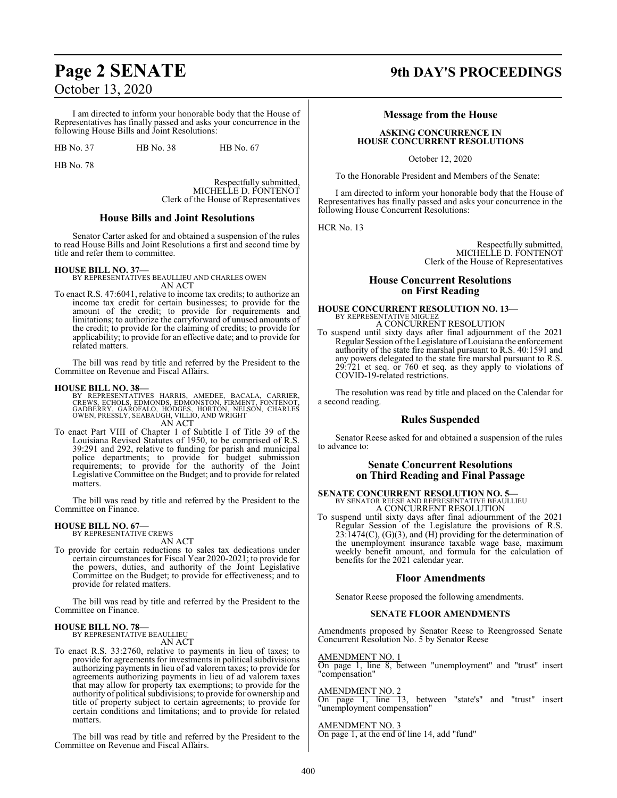I am directed to inform your honorable body that the House of Representatives has finally passed and asks your concurrence in the following House Bills and Joint Resolutions:

HB No. 37 HB No. 38 HB No. 67

HB No. 78

Respectfully submitted, MICHELLE D. FONTENOT Clerk of the House of Representatives

#### **House Bills and Joint Resolutions**

Senator Carter asked for and obtained a suspension of the rules to read House Bills and Joint Resolutions a first and second time by title and refer them to committee.

**HOUSE BILL NO. 37—** BY REPRESENTATIVES BEAULLIEU AND CHARLES OWEN AN ACT

To enact R.S. 47:6041, relative to income tax credits; to authorize an income tax credit for certain businesses; to provide for the amount of the credit; to provide for requirements and limitations; to authorize the carryforward of unused amounts of the credit; to provide for the claiming of credits; to provide for applicability; to provide for an effective date; and to provide for related matters.

The bill was read by title and referred by the President to the Committee on Revenue and Fiscal Affairs.

#### **HOUSE BILL NO. 38—**

BY REPRESENTATIVES HARRIS, AMEDEE, BACALA, CARRIER,<br>CREWS, ECHOLS, EDMONDS, EDMONSTON, FIRMENT, FONTENOT,<br>GADBERRY, GAROFALO, HODGES, HORTON, NELSON, CHARLES<br>OWEN, PRESSLY, SEABAUGH, VILLIO, AND WRIGHT<br>AN ACT

To enact Part VIII of Chapter 1 of Subtitle I of Title 39 of the Louisiana Revised Statutes of 1950, to be comprised of R.S. 39:291 and 292, relative to funding for parish and municipal police departments; to provide for budget submission requirements; to provide for the authority of the Joint Legislative Committee on the Budget; and to provide for related matters.

The bill was read by title and referred by the President to the Committee on Finance.

# **HOUSE BILL NO. 67—** BY REPRESENTATIVE CREWS

AN ACT

To provide for certain reductions to sales tax dedications under certain circumstances for Fiscal Year 2020-2021; to provide for the powers, duties, and authority of the Joint Legislative Committee on the Budget; to provide for effectiveness; and to provide for related matters.

The bill was read by title and referred by the President to the Committee on Finance.

#### **HOUSE BILL NO. 78—** BY REPRESENTATIVE BEAULLIEU

AN ACT

To enact R.S. 33:2760, relative to payments in lieu of taxes; to provide for agreements for investments in political subdivisions authorizing payments in lieu of ad valorem taxes; to provide for agreements authorizing payments in lieu of ad valorem taxes that may allow for property tax exemptions; to provide for the authority of political subdivisions; to provide for ownership and title of property subject to certain agreements; to provide for certain conditions and limitations; and to provide for related matters.

The bill was read by title and referred by the President to the Committee on Revenue and Fiscal Affairs.

## **Page 2 SENATE 9th DAY'S PROCEEDINGS**

#### **Message from the House**

#### **ASKING CONCURRENCE IN HOUSE CONCURRENT RESOLUTIONS**

October 12, 2020

To the Honorable President and Members of the Senate:

I am directed to inform your honorable body that the House of Representatives has finally passed and asks your concurrence in the following House Concurrent Resolutions:

HCR No. 13

Respectfully submitted, MICHELLE D. FONTENOT Clerk of the House of Representatives

#### **House Concurrent Resolutions on First Reading**

## **HOUSE CONCURRENT RESOLUTION NO. 13—** BY REPRESENTATIVE MIGUEZ A CONCURRENT RESOLUTION

To suspend until sixty days after final adjournment of the 2021 Regular Session ofthe Legislature of Louisiana the enforcement authority of the state fire marshal pursuant to R.S. 40:1591 and any powers delegated to the state fire marshal pursuant to R.S. 29:721 et seq. or 760 et seq. as they apply to violations of COVID-19-related restrictions.

The resolution was read by title and placed on the Calendar for a second reading.

#### **Rules Suspended**

Senator Reese asked for and obtained a suspension of the rules to advance to:

#### **Senate Concurrent Resolutions on Third Reading and Final Passage**

**SENATE CONCURRENT RESOLUTION NO. 5—**<br>BY SENATOR REESE AND REPRESENTATIVE BEAULLIEU<br>A CONCURRENT RESOLUTION

To suspend until sixty days after final adjournment of the 2021 Regular Session of the Legislature the provisions of R.S.  $23:1474(C)$ ,  $(G)(3)$ , and  $(H)$  providing for the determination of the unemployment insurance taxable wage base, maximum weekly benefit amount, and formula for the calculation of benefits for the 2021 calendar year.

#### **Floor Amendments**

Senator Reese proposed the following amendments.

#### **SENATE FLOOR AMENDMENTS**

Amendments proposed by Senator Reese to Reengrossed Senate Concurrent Resolution No. 5 by Senator Reese

#### AMENDMENT NO. 1

On page 1, line 8, between "unemployment" and "trust" insert "compensation"

#### AMENDMENT NO. 2

On page 1, line 13, between "state's" and "trust" insert "unemployment compensation"

#### AMENDMENT NO. 3

On page 1, at the end of line 14, add "fund"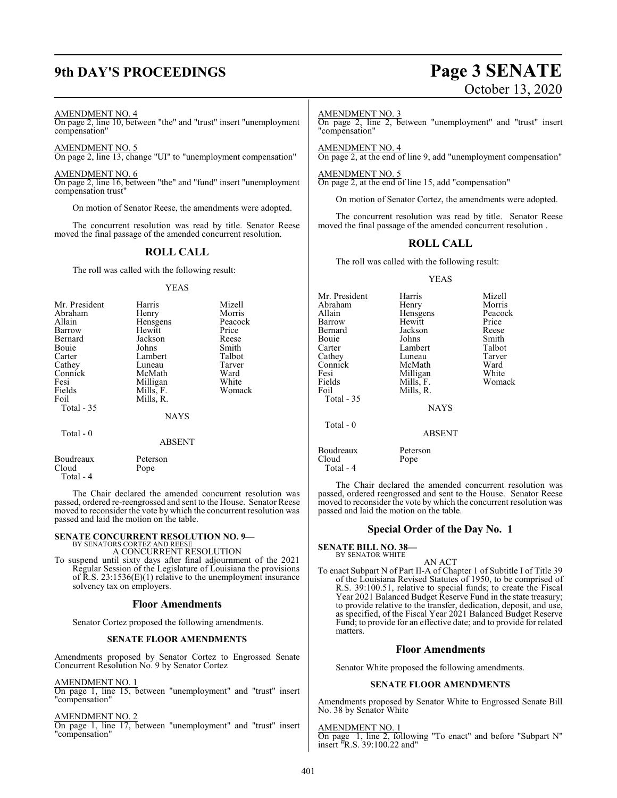## **9th DAY'S PROCEEDINGS Page 3 SENATE**

#### AMENDMENT NO. 4

On page 2, line 10, between "the" and "trust" insert "unemployment compensation"

AMENDMENT NO. 5 On page 2, line 13, change "UI" to "unemployment compensation"

AMENDMENT NO. 6

On page 2, line 16, between "the" and "fund" insert "unemployment compensation trust"

On motion of Senator Reese, the amendments were adopted.

The concurrent resolution was read by title. Senator Reese moved the final passage of the amended concurrent resolution.

#### **ROLL CALL**

The roll was called with the following result:

#### YEAS

| Mr. President | Harris        | Mizell  |
|---------------|---------------|---------|
| Abraham       | Henry         | Morris  |
| Allain        | Hensgens      | Peacock |
| Barrow        | Hewitt        | Price   |
| Bernard       | Jackson       | Reese   |
| Bouie         | Johns         | Smith   |
| Carter        | Lambert       | Talbot  |
| Cathey        | Luneau        | Tarver  |
| Connick       | McMath        | Ward    |
| Fesi          | Milligan      | White   |
| Fields        | Mills, F.     | Womack  |
| Foil          | Mills, R.     |         |
| Total $-35$   |               |         |
|               | <b>NAYS</b>   |         |
| Total $-0$    |               |         |
|               | <b>ABSENT</b> |         |

| Boudreaux | Peterson                                             |  |
|-----------|------------------------------------------------------|--|
| Cloud     | Pope                                                 |  |
| Total - 4 |                                                      |  |
|           | The Chair declared the amended concurrent resolution |  |

declared the amended concurrent resolution was passed, ordered re-reengrossed and sent to the House. Senator Reese moved to reconsider the vote by which the concurrent resolution was passed and laid the motion on the table.

#### **SENATE CONCURRENT RESOLUTION NO. 9—** BY SENATORS CORTEZ AND REESE

A CONCURRENT RESOLUTION

To suspend until sixty days after final adjournment of the 2021 Regular Session of the Legislature of Louisiana the provisions of  $\overline{R}$ .S. 23:1536(E)(1) relative to the unemployment insurance solvency tax on employers.

#### **Floor Amendments**

Senator Cortez proposed the following amendments.

#### **SENATE FLOOR AMENDMENTS**

Amendments proposed by Senator Cortez to Engrossed Senate Concurrent Resolution No. 9 by Senator Cortez

#### AMENDMENT NO. 1

On page 1, line 15, between "unemployment" and "trust" insert "compensation"

#### AMENDMENT NO. 2

On page 1, line 17, between "unemployment" and "trust" insert "compensation"

# October 13, 2020

#### AMENDMENT NO. 3

On page 2, line 2, between "unemployment" and "trust" insert "compensation"

AMENDMENT NO. 4 On page 2, at the end of line 9, add "unemployment compensation"

AMENDMENT NO. 5 On page 2, at the end of line 15, add "compensation"

On motion of Senator Cortez, the amendments were adopted.

The concurrent resolution was read by title. Senator Reese moved the final passage of the amended concurrent resolution .

#### **ROLL CALL**

The roll was called with the following result:

#### YEAS

| Mr. President      | Harris           | Mizell  |
|--------------------|------------------|---------|
| Abraham            | Henry            | Morris  |
| Allain             | Hensgens         | Peacock |
| Barrow             | Hewitt           | Price   |
| Bernard            | Jackson          | Reese   |
| Bouie              | Johns            | Smith   |
| Carter             | Lambert          | Talbot  |
| Cathey             | Luneau           | Tarver  |
| Connick            | McMath           | Ward    |
| Fesi               | Milligan         | White   |
| Fields             | Mills, F.        | Womack  |
| Foil               | Mills, R.        |         |
| Total $-35$        |                  |         |
|                    | <b>NAYS</b>      |         |
| Total - 0          |                  |         |
|                    | <b>ABSENT</b>    |         |
| Boudreaux<br>Cloud | Peterson<br>Pope |         |
|                    |                  |         |

The Chair declared the amended concurrent resolution was passed, ordered reengrossed and sent to the House. Senator Reese moved to reconsider the vote by which the concurrent resolution was passed and laid the motion on the table.

#### **Special Order of the Day No. 1**

**SENATE BILL NO. 38—** BY SENATOR WHITE

Total - 4

#### AN ACT

To enact Subpart N of Part II-A of Chapter 1 of Subtitle I of Title 39 of the Louisiana Revised Statutes of 1950, to be comprised of R.S. 39:100.51, relative to special funds; to create the Fiscal Year 2021 Balanced Budget Reserve Fund in the state treasury; to provide relative to the transfer, dedication, deposit, and use, as specified, of the Fiscal Year 2021 Balanced Budget Reserve Fund; to provide for an effective date; and to provide for related matters.

#### **Floor Amendments**

Senator White proposed the following amendments.

#### **SENATE FLOOR AMENDMENTS**

Amendments proposed by Senator White to Engrossed Senate Bill No. 38 by Senator White

AMENDMENT NO. 1 On page 1, line 2, following "To enact" and before "Subpart N" insert "R.S. 39:100.22 and"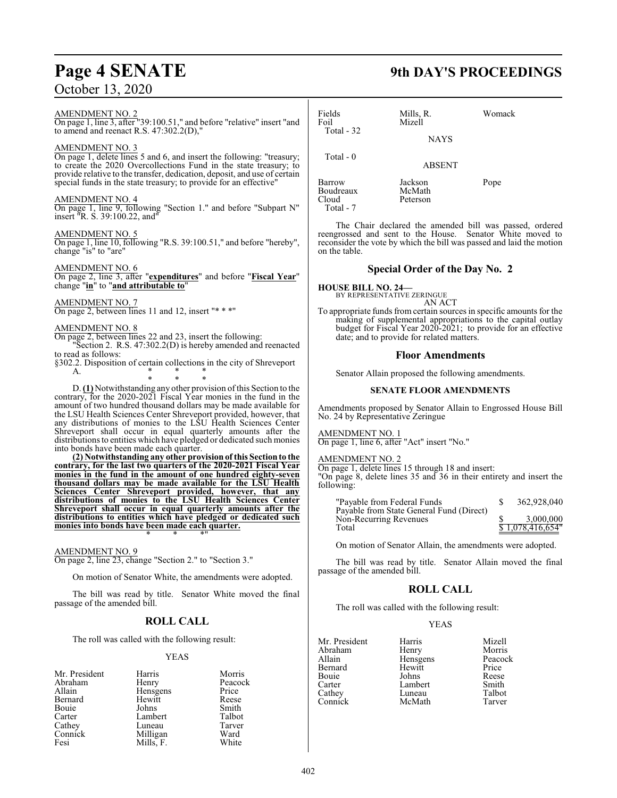#### AMENDMENT NO. 2

 $\frac{\text{NMEIVDMENT IVO}}{\text{On page 1, line 3, after}}$  39:100.51," and before "relative" insert "and to amend and reenact R.S. 47:302.2(D),"

#### AMENDMENT NO. 3

On page 1, delete lines 5 and 6, and insert the following: "treasury; to create the 2020 Overcollections Fund in the state treasury; to provide relative to the transfer, dedication, deposit, and use of certain special funds in the state treasury; to provide for an effective"

#### AMENDMENT NO. 4

On page 1, line 9, following "Section 1." and before "Subpart N" insert "R. S. 39:100.22, and"

#### AMENDMENT NO. 5

On page 1, line 10, following "R.S. 39:100.51," and before "hereby", change "is" to "are"

#### AMENDMENT NO. 6

On page 2, line 3, after "**expenditures**" and before "**Fiscal Year**" change "**in**" to "**and attributable to**"

#### AMENDMENT NO. 7

On page 2, between lines 11 and 12, insert "\* \* \*"

#### AMENDMENT NO. 8

On page 2, between lines 22 and 23, insert the following: Section 2. R.S. 47:302.2(D) is hereby amended and reenacted to read as follows:

§302.2. Disposition of certain collections in the city of Shreveport A. A. \* \* \*

\* \* \* D. **(1)** Notwithstanding any other provision ofthis Section to the contrary, for the 2020-2021 Fiscal Year monies in the fund in the amount of two hundred thousand dollars may be made available for the LSU Health Sciences Center Shreveport provided, however, that any distributions of monies to the LSU Health Sciences Center Shreveport shall occur in equal quarterly amounts after the distributions to entities which have pledged or dedicated such monies into bonds have been made each quarter.

**(2) Notwithstanding any other provision of this Section to the contrary, for the last two quarters of the 2020-2021 Fiscal Year monies in the fund in the amount of one hundred eighty-seven thousand dollars may be made available for the LSU Health Sciences Center Shreveport provided, however, that any distributions of monies to the LSU Health Sciences Center Shreveport shall occur in equal quarterly amounts after the distributions to entities which have pledged or dedicated such monies into bonds have been made each quarter.** \* \* \*"

#### AMENDMENT NO. 9

On page 2, line 23, change "Section 2." to "Section 3."

On motion of Senator White, the amendments were adopted.

The bill was read by title. Senator White moved the final passage of the amended bill.

## **ROLL CALL**

The roll was called with the following result:

#### YEAS

| Mr. President | Harris    | Morris  |
|---------------|-----------|---------|
| Abraham       | Henry     | Peacock |
| Allain        | Hensgens  | Price   |
| Bernard       | Hewitt    | Reese   |
| Bouie         | Johns     | Smith   |
| Carter        | Lambert   | Talbot  |
| Cathey        | Luneau    | Tarver  |
| Connick       | Milligan  | Ward    |
| Fesi          | Mills, F. | White   |

# **Page 4 SENATE 9th DAY'S PROCEEDINGS**

| Fields<br>Foil<br>Total $-32$             | Mills, R.<br>Mizell<br><b>NAYS</b> | Womack |
|-------------------------------------------|------------------------------------|--------|
| Total $-0$                                | <b>ABSENT</b>                      |        |
| Barrow<br>Boudreaux<br>Cloud<br>Total - 7 | Jackson<br>McMath<br>Peterson      | Pope   |

The Chair declared the amended bill was passed, ordered reengrossed and sent to the House. Senator White moved to reconsider the vote by which the bill was passed and laid the motion on the table.

### **Special Order of the Day No. 2**

#### **HOUSE BILL NO. 24—** BY REPRESENTATIVE ZERINGUE

AN ACT

To appropriate funds from certain sources in specific amounts for the making of supplemental appropriations to the capital outlay budget for Fiscal Year 2020-2021; to provide for an effective date; and to provide for related matters.

#### **Floor Amendments**

Senator Allain proposed the following amendments.

#### **SENATE FLOOR AMENDMENTS**

Amendments proposed by Senator Allain to Engrossed House Bill No. 24 by Representative Zeringue

#### AMENDMENT NO. 1

On page 1, line 6, after "Act" insert "No."

#### AMENDMENT NO. 2

On page 1, delete lines 15 through 18 and insert:

"On page 8, delete lines 35 and 36 in their entirety and insert the following:

| "Payable from Federal Funds                                        | 362,928,040      |
|--------------------------------------------------------------------|------------------|
| Payable from State General Fund (Direct)<br>Non-Recurring Revenues | 3,000,000        |
| Total                                                              | \$1,078,416,654" |

On motion of Senator Allain, the amendments were adopted.

The bill was read by title. Senator Allain moved the final passage of the amended bill.

## **ROLL CALL**

The roll was called with the following result:

| Mr. President | Harris   | Mizell  |
|---------------|----------|---------|
| Abraham       | Henry    | Morris  |
| Allain        | Hensgens | Peacock |
| Bernard       | Hewitt   | Price   |
| Bouie         | Johns    | Reese   |
| Carter        | Lambert  | Smith   |
| Cathey        | Luneau   | Talbot  |
| Connick       | McMath   | Tarver  |
|               |          |         |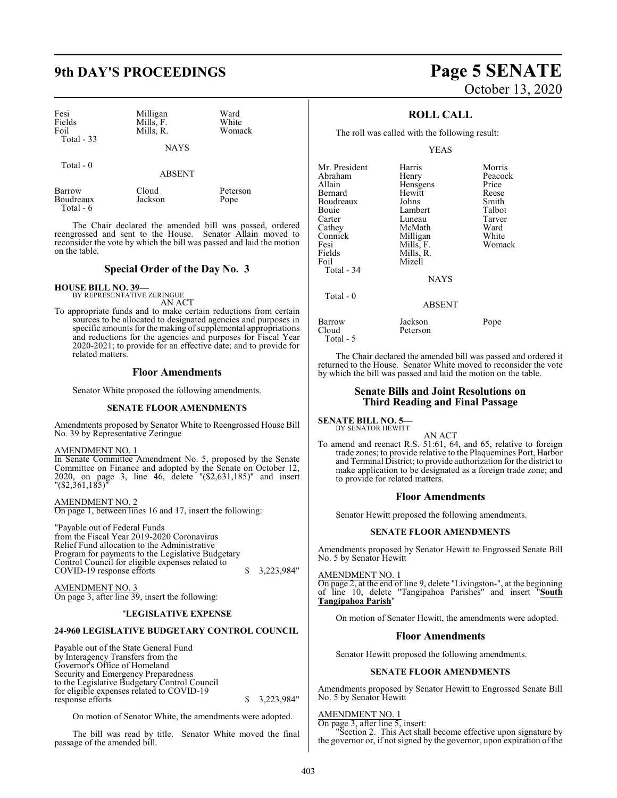## **9th DAY'S PROCEEDINGS Page 5 SENATE**

| Fesi<br>Fields      | Milligan<br>Mills, F. | Ward<br>White |
|---------------------|-----------------------|---------------|
| Foil<br>Total $-33$ | Mills, R.             | Womack        |
|                     | <b>NAYS</b>           |               |

Total - 0

ABSENT

| Barrow    | Cloud   | Peterson |
|-----------|---------|----------|
| Boudreaux | Jackson | Pope     |
| Total - 6 |         |          |

The Chair declared the amended bill was passed, ordered reengrossed and sent to the House. Senator Allain moved to reconsider the vote by which the bill was passed and laid the motion on the table.

#### **Special Order of the Day No. 3**

**HOUSE BILL NO. 39—**

BY REPRESENTATIVE ZERINGUE AN ACT

To appropriate funds and to make certain reductions from certain sources to be allocated to designated agencies and purposes in specific amounts for the making of supplemental appropriations and reductions for the agencies and purposes for Fiscal Year 2020-2021; to provide for an effective date; and to provide for related matters.

#### **Floor Amendments**

Senator White proposed the following amendments.

#### **SENATE FLOOR AMENDMENTS**

Amendments proposed by Senator White to Reengrossed House Bill No. 39 by Representative Zeringue

#### AMENDMENT NO. 1

In Senate Committee Amendment No. 5, proposed by the Senate Committee on Finance and adopted by the Senate on October 12, 2020, on page 3, line 46, delete "(\$2,631,185)" and insert "(\$2,361,185)"

AMENDMENT NO. 2 On page 1, between lines 16 and 17, insert the following:

"Payable out of Federal Funds from the Fiscal Year 2019-2020 Coronavirus Relief Fund allocation to the Administrative Program for payments to the Legislative Budgetary Control Council for eligible expenses related to COVID-19 response efforts \$ 3,223,984"

AMENDMENT NO. 3 On page 3, after line 39, insert the following:

#### "**LEGISLATIVE EXPENSE**

#### **24-960 LEGISLATIVE BUDGETARY CONTROL COUNCIL**

Payable out of the State General Fund by Interagency Transfers from the Governor's Office of Homeland Security and Emergency Preparedness to the Legislative Budgetary Control Council for eligible expenses related to COVID-19  $$3,223,984"$ 

On motion of Senator White, the amendments were adopted.

The bill was read by title. Senator White moved the final passage of the amended bill.

# October 13, 2020

### **ROLL CALL**

The roll was called with the following result:

#### YEAS

| Mr. President<br>Abraham<br>Allain | Harris<br>Henry    | Morris<br>Peacock<br>Price |
|------------------------------------|--------------------|----------------------------|
| Bernard                            | Hensgens<br>Hewitt | Reese                      |
| Boudreaux                          | Johns              | Smith                      |
| Bouie                              | Lambert            | Talbot                     |
| Carter                             | Luneau             | Tarver                     |
| Cathey                             | McMath             | Ward                       |
| Connick                            | Milligan           | White                      |
| Fesi                               | Mills, F.          | Womack                     |
| Fields                             | Mills, R.          |                            |
| Foil                               | Mizell             |                            |
| Total $-34$                        |                    |                            |
|                                    | <b>NAYS</b>        |                            |
| Total $-0$                         |                    |                            |
|                                    | <b>ABSENT</b>      |                            |
| Barrow                             | Jackson            | Pope                       |
| $Cl$ <sub>oud</sub>                | Peterson           |                            |

The Chair declared the amended bill was passed and ordered it returned to the House. Senator White moved to reconsider the vote by which the bill was passed and laid the motion on the table.

#### **Senate Bills and Joint Resolutions on Third Reading and Final Passage**

**SENATE BILL NO. 5—** BY SENATOR HEWITT

Total - 5

AN ACT

To amend and reenact R.S. 51:61, 64, and 65, relative to foreign trade zones; to provide relative to the Plaquemines Port, Harbor and Terminal District; to provide authorization for the district to make application to be designated as a foreign trade zone; and to provide for related matters.

#### **Floor Amendments**

Senator Hewitt proposed the following amendments.

#### **SENATE FLOOR AMENDMENTS**

Amendments proposed by Senator Hewitt to Engrossed Senate Bill No. 5 by Senator Hewitt

AMENDMENT NO. 1

On page 2, at the end of line 9, delete "Livingston-", at the beginning of line 10, delete "Tangipahoa Parishes" and insert "South "Tangipahoa Parishes" and insert "South **Tangipahoa Parish**"

On motion of Senator Hewitt, the amendments were adopted.

#### **Floor Amendments**

Senator Hewitt proposed the following amendments.

#### **SENATE FLOOR AMENDMENTS**

Amendments proposed by Senator Hewitt to Engrossed Senate Bill No. 5 by Senator Hewitt

#### AMENDMENT NO. 1

On page 3, after line 5, insert: "Section 2. This Act shall become effective upon signature by the governor or, if not signed by the governor, upon expiration of the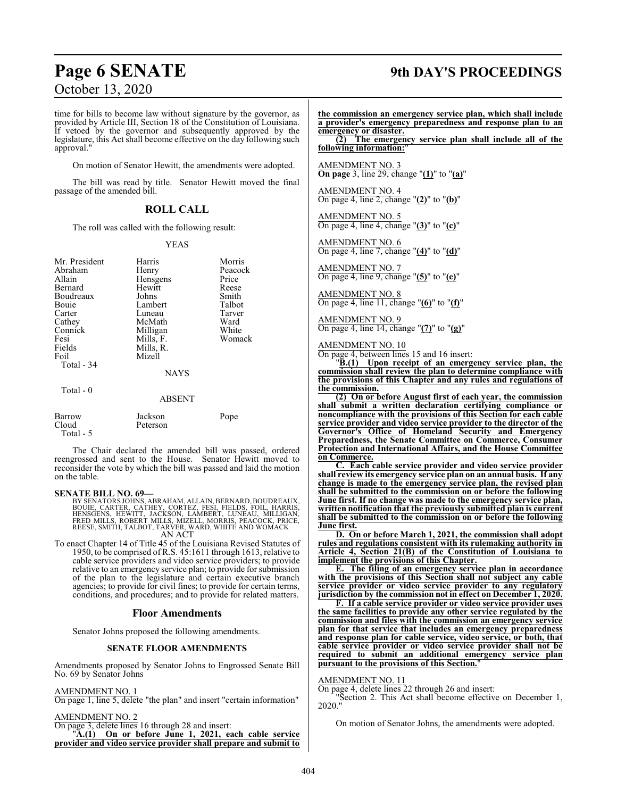time for bills to become law without signature by the governor, as provided by Article III, Section 18 of the Constitution of Louisiana. If vetoed by the governor and subsequently approved by the legislature, this Act shall become effective on the day following such approval."

On motion of Senator Hewitt, the amendments were adopted.

The bill was read by title. Senator Hewitt moved the final passage of the amended bill.

#### **ROLL CALL**

The roll was called with the following result:

#### YEAS

| Mr. President      | Harris        | Morris  |
|--------------------|---------------|---------|
| Abraham            | Henry         | Peacock |
| Allain             | Hensgens      | Price   |
| <b>Bernard</b>     | Hewitt        | Reese   |
| Boudreaux          | Johns         | Smith   |
| Bouie              | Lambert       | Talbot  |
| Carter             | Luneau        | Tarver  |
| Cathey             | McMath        | Ward    |
| Connick            | Milligan      | White   |
| Fesi               | Mills, F.     | Womack  |
| Fields             | Mills, R.     |         |
| Foil               | Mizell        |         |
| Total - 34         |               |         |
|                    | <b>NAYS</b>   |         |
| Total $-0$         |               |         |
|                    | <b>ABSENT</b> |         |
| Barrow             | Jackson       | Pope    |
| Cloud<br>Total - 5 | Peterson      |         |

The Chair declared the amended bill was passed, ordered reengrossed and sent to the House. Senator Hewitt moved to reconsider the vote by which the bill was passed and laid the motion on the table.

#### **SENATE BILL NO. 69—**

BY SENATORS JOHNS, ABRAHAM, ALLAIN, BERNARD, BOUDREAUX, BOUIE, CARTER, CATHEY, CORTEZ, FESI, FIELDS, FOIL, HARRIS,<br>HENSGENS, HEWITT, JACKSON, LAMBERT, LUNEAU, MILLIGAN,<br>FRED MILLS, ROBERT MILLS, MIZELL, MORRIS, PEACOCK, PRICE,<br>REESE, SMITH,TALBOT,TARVER, WARD, WHITE AND WOMACK<br>

To enact Chapter 14 of Title 45 of the Louisiana Revised Statutes of 1950, to be comprised of R.S. 45:1611 through 1613, relative to cable service providers and video service providers; to provide relative to an emergency service plan; to provide for submission of the plan to the legislature and certain executive branch agencies; to provide for civil fines; to provide for certain terms, conditions, and procedures; and to provide for related matters.

#### **Floor Amendments**

Senator Johns proposed the following amendments.

#### **SENATE FLOOR AMENDMENTS**

Amendments proposed by Senator Johns to Engrossed Senate Bill No. 69 by Senator Johns

#### AMENDMENT NO. 1

On page 1, line 5, delete "the plan" and insert "certain information"

#### AMENDMENT NO. 2

On page 3, delete lines 16 through 28 and insert:

"**A.(1) On or before June 1, 2021, each cable service provider and video service provider shall prepare and submit to**

## **Page 6 SENATE 9th DAY'S PROCEEDINGS**

**the commission an emergency service plan, which shall include a provider's emergency preparedness and response plan to an emergency or disaster.**

**(2) The emergency service plan shall include all of the following information:**"

AMENDMENT NO. 3 **On page** 3, line 29, change "**(1)**" to "**(a)**"

AMENDMENT NO. 4 On page 4, line 2, change "**(2)**" to "**(b)**"

AMENDMENT NO. 5 On page 4, line 4, change "**(3)**" to "**(c)**"

AMENDMENT NO. 6 On page 4, line 7, change "**(4)**" to "**(d)**"

AMENDMENT NO. 7 On page 4, line 9, change "**(5)**" to "**(e)**"

AMENDMENT NO. 8 On page 4, line 11, change "**(6)**" to "**(f)**"

AMENDMENT NO. 9 On page 4, line 14, change "**(7)**" to "**(g)**"

AMENDMENT NO. 10

On page 4, between lines 15 and 16 insert:

"**B.(1) Upon receipt of an emergency service plan, the commission shall review the plan to determine compliance with the provisions of this Chapter and any rules and regulations of the commission.**

**(2) On or before August first of each year, the commission shall submit a written declaration certifying compliance or noncompliance with the provisions of this Section for each cable service provider and video service provider to the director of the Governor's Office of Homeland Security and Emergency Preparedness, the Senate Committee on Commerce, Consumer Protection and International Affairs, and the House Committee on Commerce.**

**C. Each cable service provider and video service provider shall review its emergency service plan on an annual basis. If any change is made to the emergency service plan, the revised plan shall be submitted to the commission on or before the following June first. If no change was made to the emergency service plan, written notification that the previously submitted plan is current shall be submitted to the commission on or before the following June first.**

**D. On or before March 1, 2021, the commission shall adopt rules and regulations consistent with its rulemaking authority in Article 4, Section 21(B) of the Constitution of Louisiana to implement the provisions of this Chapter.**

**E. The filing of an emergency service plan in accordance with the provisions of this Section shall not subject any cable service provider or video service provider to any regulatory jurisdiction by the commission not in effect on December 1, 2020.**

**F. If a cable service provider or video service provider uses the same facilities to provide any other service regulated by the commission and files with the commission an emergency service plan for that service that includes an emergency preparedness and response plan for cable service, video service, or both, that cable service provider or video service provider shall not be required to submit an additional emergency service plan pursuant to the provisions of this Section.**"

#### AMENDMENT NO. 11

On page 4, delete lines 22 through 26 and insert:

"Section 2. This Act shall become effective on December 1, 2020."

On motion of Senator Johns, the amendments were adopted.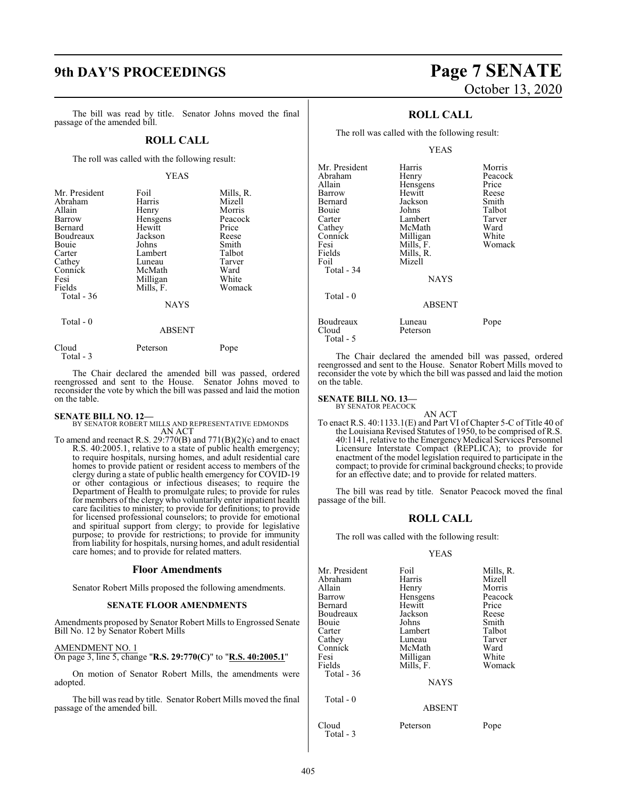## **9th DAY'S PROCEEDINGS Page 7 SENATE**

The bill was read by title. Senator Johns moved the final passage of the amended bill.

#### **ROLL CALL**

The roll was called with the following result:

#### YEAS

| Mr. President | Foil          | Mills, R. |
|---------------|---------------|-----------|
| Abraham       | Harris        | Mizell    |
| Allain        | Henry         | Morris    |
| Barrow        | Hensgens      | Peacock   |
| Bernard       | Hewitt        | Price     |
| Boudreaux     | Jackson       | Reese     |
| Bouie         | Johns         | Smith     |
| Carter        | Lambert       | Talbot    |
| Cathey        | Luneau        | Tarver    |
| Connick       | McMath        | Ward      |
| Fesi          | Milligan      | White     |
| Fields        | Mills, F.     | Womack    |
| Total $-36$   |               |           |
|               | <b>NAYS</b>   |           |
| Total - 0     |               |           |
|               | <b>ABSENT</b> |           |
|               |               |           |

| Cloud     | Peterson | Pope |
|-----------|----------|------|
| Total - 3 |          |      |

The Chair declared the amended bill was passed, ordered reengrossed and sent to the House. Senator Johns moved to reconsider the vote by which the bill was passed and laid the motion on the table.

**SENATE BILL NO. 12—** BY SENATOR ROBERT MILLS AND REPRESENTATIVE EDMONDS AN ACT

To amend and reenact R.S. 29:770(B) and 771(B)(2)(c) and to enact R.S. 40:2005.1, relative to a state of public health emergency; to require hospitals, nursing homes, and adult residential care homes to provide patient or resident access to members of the clergy during a state of public health emergency for COVID-19 or other contagious or infectious diseases; to require the Department of Health to promulgate rules; to provide for rules for members of the clergy who voluntarily enter inpatient health care facilities to minister; to provide for definitions; to provide for licensed professional counselors; to provide for emotional and spiritual support from clergy; to provide for legislative purpose; to provide for restrictions; to provide for immunity from liability for hospitals, nursing homes, and adult residential care homes; and to provide for related matters.

#### **Floor Amendments**

Senator Robert Mills proposed the following amendments.

#### **SENATE FLOOR AMENDMENTS**

Amendments proposed by Senator Robert Mills to Engrossed Senate Bill No. 12 by Senator Robert Mills

#### AMENDMENT NO. 1

On page 3, line 5, change "**R.S. 29:770(C)**" to "**R.S. 40:2005.1**"

On motion of Senator Robert Mills, the amendments were adopted.

The bill was read by title. Senator Robert Mills moved the final passage of the amended bill.

# October 13, 2020

### **ROLL CALL**

The roll was called with the following result:

#### YEAS

| Mr. President | Harris        | Morris  |
|---------------|---------------|---------|
| Abraham       | Henry         | Peacock |
| Allain        | Hensgens      | Price   |
| Barrow        | Hewitt        | Reese   |
| Bernard       | Jackson       | Smith   |
| Bouie         | Johns         | Talbot  |
| Carter        | Lambert       | Tarver  |
| Cathey        | McMath        | Ward    |
| Connick       | Milligan      | White   |
| Fesi          | Mills, F.     | Womack  |
| Fields        | Mills, R.     |         |
| Foil          | Mizell        |         |
| Total - 34    |               |         |
|               | <b>NAYS</b>   |         |
| Total - 0     |               |         |
|               | <b>ABSENT</b> |         |
| Boudreaux     | Luneau        | Pope    |
| Cloud         | Peterson      |         |
| Total - 5     |               |         |

The Chair declared the amended bill was passed, ordered reengrossed and sent to the House. Senator Robert Mills moved to reconsider the vote by which the bill was passed and laid the motion on the table.

## **SENATE BILL NO. 13—**<br>BY SENATOR PEACOCK

- AN ACT
- To enact R.S. 40:1133.1(E) and Part VI of Chapter 5-C of Title 40 of the Louisiana Revised Statutes of 1950, to be comprised of R.S. 40:1141, relative to the Emergency Medical Services Personnel Licensure Interstate Compact (REPLICA); to provide for enactment of the model legislation required to participate in the compact; to provide for criminal background checks; to provide for an effective date; and to provide for related matters.

The bill was read by title. Senator Peacock moved the final passage of the bill.

#### **ROLL CALL**

The roll was called with the following result:

| Mr. President<br>Abraham<br>Allain<br>Barrow<br>Bernard<br>Boudreaux<br>Bouie<br>Carter<br>Cathey<br>Connick<br>Fesi<br>Fields | Foil<br>Harris<br>Henry<br>Hensgens<br>Hewitt<br>Jackson<br>Johns<br>Lambert<br>Luneau<br>McMath<br>Milligan<br>Mills, F. | Mills, R.<br>Mizell<br>Morris<br>Peacock<br>Price<br>Reese<br>Smith<br>Talbot<br>Tarver<br>Ward<br>White<br>Womack |
|--------------------------------------------------------------------------------------------------------------------------------|---------------------------------------------------------------------------------------------------------------------------|--------------------------------------------------------------------------------------------------------------------|
| Total - 36                                                                                                                     | <b>NAYS</b>                                                                                                               |                                                                                                                    |
| Total - 0                                                                                                                      | <b>ABSENT</b>                                                                                                             |                                                                                                                    |
| Cloud<br>Total - 3                                                                                                             | Peterson                                                                                                                  | Pope                                                                                                               |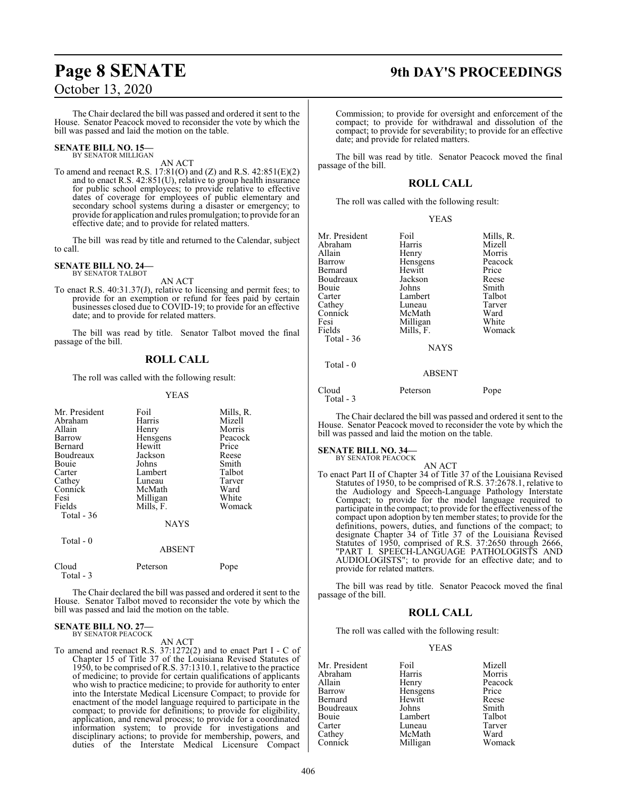## **Page 8 SENATE 9th DAY'S PROCEEDINGS**

The Chair declared the bill was passed and ordered it sent to the House. Senator Peacock moved to reconsider the vote by which the bill was passed and laid the motion on the table.

#### **SENATE BILL NO. 15—** BY SENATOR MILLIGAN

AN ACT

To amend and reenact R.S. 17:81(O) and (Z) and R.S. 42:851(E)(2) and to enact R.S. 42:851(U), relative to group health insurance for public school employees; to provide relative to effective dates of coverage for employees of public elementary and secondary school systems during a disaster or emergency; to provide for application and rules promulgation; to provide for an effective date; and to provide for related matters.

The bill was read by title and returned to the Calendar, subject to call.

#### **SENATE BILL NO. 24—** BY SENATOR TALBOT

AN ACT

To enact R.S. 40:31.37(J), relative to licensing and permit fees; to provide for an exemption or refund for fees paid by certain businesses closed due to COVID-19; to provide for an effective date; and to provide for related matters.

The bill was read by title. Senator Talbot moved the final passage of the bill.

## **ROLL CALL**

The roll was called with the following result:

#### YEAS

| Mr. President<br>Abraham<br>Allain<br>Barrow<br>Bernard<br>Boudreaux<br>Bouie<br>Carter<br>Cathey<br>Connick<br>Fesi<br>Fields | Foil<br>Harris<br>Henry<br>Hensgens<br>Hewitt<br>Jackson<br>Johns<br>Lambert<br>Luneau<br>McMath<br>Milligan<br>Mills, F. | Mills, R.<br>Mizell<br>Morris<br>Peacock<br>Price<br>Reese<br>Smith<br>Talbot<br>Tarver<br>Ward<br>White<br>Womack |
|--------------------------------------------------------------------------------------------------------------------------------|---------------------------------------------------------------------------------------------------------------------------|--------------------------------------------------------------------------------------------------------------------|
| Total - 36                                                                                                                     | <b>NAYS</b>                                                                                                               |                                                                                                                    |
| Total - 0                                                                                                                      | <b>ABSENT</b>                                                                                                             |                                                                                                                    |
| Cloud<br>Total - 3                                                                                                             | Peterson                                                                                                                  | Pope                                                                                                               |

The Chair declared the bill was passed and ordered it sent to the House. Senator Talbot moved to reconsider the vote by which the bill was passed and laid the motion on the table.

#### **SENATE BILL NO. 27—** BY SENATOR PEACOCK

AN ACT

To amend and reenact R.S. 37:1272(2) and to enact Part I - C of Chapter 15 of Title 37 of the Louisiana Revised Statutes of 1950, to be comprised of R.S. 37:1310.1, relative to the practice of medicine; to provide for certain qualifications of applicants who wish to practice medicine; to provide for authority to enter into the Interstate Medical Licensure Compact; to provide for enactment of the model language required to participate in the compact; to provide for definitions; to provide for eligibility, application, and renewal process; to provide for a coordinated information system; to provide for investigations and disciplinary actions; to provide for membership, powers, and duties of the Interstate Medical Licensure Compact Commission; to provide for oversight and enforcement of the compact; to provide for withdrawal and dissolution of the compact; to provide for severability; to provide for an effective date; and provide for related matters.

The bill was read by title. Senator Peacock moved the final passage of the bill.

### **ROLL CALL**

The roll was called with the following result:

|--|--|

| Mr. President<br>Abraham<br>Allain<br>Barrow | Foil<br>Harris<br>Henry<br>Hensgens  | Mills, R.<br>Mizell<br>Morris<br>Peacock |
|----------------------------------------------|--------------------------------------|------------------------------------------|
| Bernard<br>Boudreaux                         | Hewitt<br>Jackson                    | Price<br>Reese                           |
| Bouie<br>Carter<br>Cathey<br>Connick         | Johns<br>Lambert<br>Luneau<br>McMath | Smith<br>Talbot<br>Tarver<br>Ward        |
| Fesi                                         | Milligan                             | White                                    |
| Fields<br>Total - 36                         | Mills, F.<br><b>NAYS</b>             | Womack                                   |
| Total $-0$                                   | <b>ABSENT</b>                        |                                          |
| Cloud                                        | Peterson                             | Pope                                     |

Total - 3

The Chair declared the bill was passed and ordered it sent to the House. Senator Peacock moved to reconsider the vote by which the bill was passed and laid the motion on the table.

## **SENATE BILL NO. 34—**<br>BY SENATOR PEACOCK

AN ACT To enact Part II of Chapter 34 of Title 37 of the Louisiana Revised Statutes of 1950, to be comprised of R.S. 37:2678.1, relative to the Audiology and Speech-Language Pathology Interstate Compact; to provide for the model language required to participate in the compact; to provide for the effectiveness of the compact upon adoption by ten member states; to provide for the definitions, powers, duties, and functions of the compact; to designate Chapter 34 of Title 37 of the Louisiana Revised Statutes of 1950, comprised of R.S. 37:2650 through 2666, "PART I. SPEECH-LANGUAGE PATHOLOGISTS AND AUDIOLOGISTS"; to provide for an effective date; and to provide for related matters.

The bill was read by title. Senator Peacock moved the final passage of the bill.

#### **ROLL CALL**

The roll was called with the following result:

|          | Mizell           |
|----------|------------------|
| Harris   | Morris           |
| Henry    | Peacock          |
| Hensgens | Price            |
| Hewitt   | Reese            |
| Johns    | Smith            |
| Lambert  | Talbot           |
| Luneau   | Tarver           |
| McMath   | Ward             |
|          | Womack           |
|          | Foil<br>Milligan |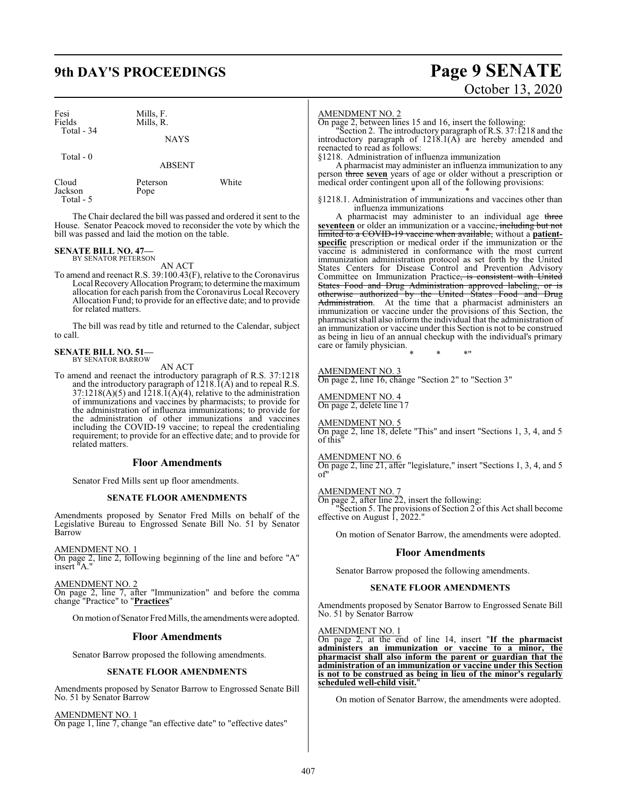## **9th DAY'S PROCEEDINGS Page 9 SENATE**

| Fesi<br>Fields<br>Total - 34 | Mills, F.<br>Mills, R. |  |
|------------------------------|------------------------|--|
|                              | <b>NAYS</b>            |  |
| Total - 0                    | <b>ABSENT</b>          |  |

| Cloud     |  |
|-----------|--|
| Jackson   |  |
| Total - 5 |  |

Pope

The Chair declared the bill was passed and ordered it sent to the House. Senator Peacock moved to reconsider the vote by which the bill was passed and laid the motion on the table.

Peterson White

## **SENATE BILL NO. 47—** BY SENATOR PETERSON

AN ACT

To amend and reenact R.S. 39:100.43(F), relative to the Coronavirus Local RecoveryAllocation Program; to determine the maximum allocation for each parish from the Coronavirus Local Recovery Allocation Fund; to provide for an effective date; and to provide for related matters.

The bill was read by title and returned to the Calendar, subject to call.

## **SENATE BILL NO. 51—** BY SENATOR BARROW

AN ACT

To amend and reenact the introductory paragraph of R.S. 37:1218 and the introductory paragraph of  $1218.\overline{1}(\overline{A})$  and to repeal R.S.  $37:1218(A)(5)$  and  $1218.\overline{1}(A)(4)$ , relative to the administration of immunizations and vaccines by pharmacists; to provide for the administration of influenza immunizations; to provide for the administration of other immunizations and vaccines including the COVID-19 vaccine; to repeal the credentialing requirement; to provide for an effective date; and to provide for related matters.

#### **Floor Amendments**

Senator Fred Mills sent up floor amendments.

#### **SENATE FLOOR AMENDMENTS**

Amendments proposed by Senator Fred Mills on behalf of the Legislative Bureau to Engrossed Senate Bill No. 51 by Senator Barrow

AMENDMENT NO. 1

On page 2, line 2, following beginning of the line and before "A" insert "A."

AMENDMENT NO. 2

On page 2, line 7, after "Immunization" and before the comma change "Practice" to "**Practices**"

Onmotion ofSenator Fred Mills, the amendments were adopted.

#### **Floor Amendments**

Senator Barrow proposed the following amendments.

#### **SENATE FLOOR AMENDMENTS**

Amendments proposed by Senator Barrow to Engrossed Senate Bill No. 51 by Senator Barrow

AMENDMENT NO. 1

On page 1, line 7, change "an effective date" to "effective dates"

#### AMENDMENT NO. 2

On page 2, between lines 15 and 16, insert the following:

"Section 2. The introductory paragraph of R.S. 37:1218 and the introductory paragraph of  $1218.1(A)$  are hereby amended and reenacted to read as follows:

§1218. Administration of influenza immunization

A pharmacist may administer an influenza immunization to any person three **seven** years of age or older without a prescription or medical order contingent upon all of the following provisions: \* \* \*

§1218.1. Administration of immunizations and vaccines other than influenza immunizations

A pharmacist may administer to an individual age three **seventeen** or older an immunization or a vaccine, including but not limited to a COVID-19 vaccine when available, without a **patientspecific** prescription or medical order if the immunization or the vaccine is administered in conformance with the most current immunization administration protocol as set forth by the United States Centers for Disease Control and Prevention Advisory Committee on Immunization Practice<del>, is consistent with United</del><br>States Food and Drug Administration approved labeling, or is States Food and Drug Administration approved labeling, otherwise authorized by the United States Food and Drug Administration. At the time that a pharmacist administers an immunization or vaccine under the provisions of this Section, the pharmacist shall also inform the individual that the administration of an immunization or vaccine under this Section is not to be construed as being in lieu of an annual checkup with the individual's primary care or family physician. \* \* \*"

#### AMENDMENT NO. 3

On page 2, line 16, change "Section 2" to "Section 3"

#### AMENDMENT NO. 4

On page 2, delete line 17

#### AMENDMENT NO. 5

On page 2, line 18, delete "This" and insert "Sections 1, 3, 4, and 5 of this"

#### AMENDMENT NO. 6

On page 2, line 21, after "legislature," insert "Sections 1, 3, 4, and 5 of"

#### AMENDMENT NO. 7

On page 2, after line 22, insert the following: "Section 5. The provisions of Section 2 of this Act shall become effective on August 1, 2022."

On motion of Senator Barrow, the amendments were adopted.

#### **Floor Amendments**

Senator Barrow proposed the following amendments.

#### **SENATE FLOOR AMENDMENTS**

Amendments proposed by Senator Barrow to Engrossed Senate Bill No. 51 by Senator Barrow

#### AMENDMENT NO. 1

On page 2, at the end of line 14, insert "**If the pharmacist administers an immunization or vaccine to a minor, the pharmacist shall also inform the parent or guardian that the administration of an immunization or vaccine under this Section is not to be construed as being in lieu of the minor's regularly scheduled well-child visit.**"

On motion of Senator Barrow, the amendments were adopted.

# October 13, 2020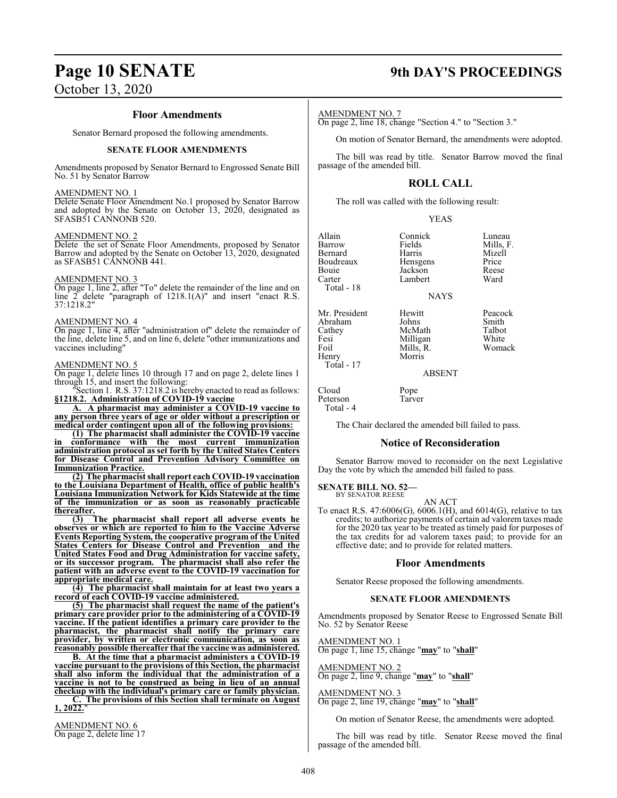#### **Floor Amendments**

Senator Bernard proposed the following amendments.

#### **SENATE FLOOR AMENDMENTS**

Amendments proposed by Senator Bernard to Engrossed Senate Bill No. 51 by Senator Barrow

#### AMENDMENT NO. 1

Delete Senate Floor Amendment No.1 proposed by Senator Barrow and adopted by the Senate on October 13, 2020, designated as SFASB51 CANNONB 520.

#### AMENDMENT NO. 2

Delete the set of Senate Floor Amendments, proposed by Senator Barrow and adopted by the Senate on October 13, 2020, designated as SFASB51 CANNONB 441.

#### AMENDMENT NO. 3

On page 1, line 2, after "To" delete the remainder of the line and on line  $2^{\circ}$  delete "paragraph of  $1218.1(A)$ " and insert "enact R.S. 37:1218.2"

#### AMENDMENT NO. 4

On page 1, line 4, after "administration of" delete the remainder of the line, delete line 5, and on line 6, delete "other immunizations and vaccines including"

#### AMENDMENT NO. 5

On page 1, delete lines 10 through 17 and on page 2, delete lines 1 through 15, and insert the following:

"Section 1. R.S. 37:1218.2 is hereby enacted to read as follows: **§1218.2. Administration of COVID-19 vaccine**

**A. A pharmacist may administer a COVID-19 vaccine to any person three years of age or older without a prescription or medical order contingent upon all of the following provisions:**

**(1) The pharmacist shall administer the COVID-19 vaccine in conformance with the most current immunization administration protocol as set forth by the United States Centers for Disease Control and Prevention Advisory Committee on Immunization Practice.**

**(2) The pharmacist shall report each COVID-19 vaccination to the Louisiana Department of Health, office of public health's Louisiana Immunization Network for Kids Statewide at the time of the immunization or as soon as reasonably practicable thereafter.**

**(3) The pharmacist shall report all adverse events he observes or which are reported to him to the Vaccine Adverse Events Reporting System, the cooperative program of the United States Centers for Disease Control and Prevention and the United States Food and Drug Administration for vaccine safety, or its successor program. The pharmacist shall also refer the patient with an adverse event to the COVID-19 vaccination for appropriate medical care.**

**(4) The pharmacist shall maintain for at least two years a record of each COVID-19 vaccine administered.**

**(5) The pharmacist shall request the name of the patient's primary care provider prior to the administering of a COVID-19 vaccine. If the patient identifies a primary care provider to the pharmacist, the pharmacist shall notify the primary care provider, by written or electronic communication, as soon as reasonably possible thereafter that the vaccine was administered.**

**B. At the time that a pharmacist administers a COVID-19 vaccine pursuant to the provisions of this Section, the pharmacist shall also inform the individual that the administration of a vaccine is not to be construed as being in lieu of an annual checkup with the individual's primary care or family physician. C. The provisions of this Section shall terminate on August**

## 1, 2022.

AMENDMENT NO. 6 On page 2, delete line 17

## **Page 10 SENATE 9th DAY'S PROCEEDINGS**

#### AMENDMENT NO. 7

On page 2, line 18, change "Section 4." to "Section 3."

On motion of Senator Bernard, the amendments were adopted.

The bill was read by title. Senator Barrow moved the final passage of the amended bill.

#### **ROLL CALL**

The roll was called with the following result:

| Allain        | Connick     | Luneau    |
|---------------|-------------|-----------|
| Barrow        | Fields      | Mills, F. |
| Bernard       | Harris      | Mizell    |
| Boudreaux     | Hensgens    | Price     |
| Bouie         | Jackson     | Reese     |
| Carter        | Lambert     | Ward      |
| Total - 18    |             |           |
|               | <b>NAYS</b> |           |
| Mr. President | Hewitt      | Peacock   |
| Abraham       | Johns       | Smith     |
| Cathey        | McMath      | Talbot    |

Cathey McMath Talbot<br>
Fesi Milligan White Fesi Milligan<br>Foil Mills, R. Foil Mills, R. Womack<br>
Henry Morris Total - 17

ABSENT

Cloud Pope<br>Peterson Tarver

Morris

Peterson Total - 4

The Chair declared the amended bill failed to pass.

#### **Notice of Reconsideration**

Senator Barrow moved to reconsider on the next Legislative Day the vote by which the amended bill failed to pass.

**SENATE BILL NO. 52—**

BY SENATOR REESE

#### AN ACT

To enact R.S. 47:6006(G), 6006.1(H), and 6014(G), relative to tax credits; to authorize payments of certain ad valorem taxes made for the 2020 tax year to be treated as timely paid for purposes of the tax credits for ad valorem taxes paid; to provide for an effective date; and to provide for related matters.

#### **Floor Amendments**

Senator Reese proposed the following amendments.

#### **SENATE FLOOR AMENDMENTS**

Amendments proposed by Senator Reese to Engrossed Senate Bill No. 52 by Senator Reese

AMENDMENT NO. 1

On page 1, line 15, change "**may**" to "**shall**"

## AMENDMENT NO. 2

On page 2, line 9, change "**may**" to "**shall**"

#### AMENDMENT NO. 3

On page 2, line 19, change "**may**" to "**shall**"

On motion of Senator Reese, the amendments were adopted.

The bill was read by title. Senator Reese moved the final passage of the amended bill.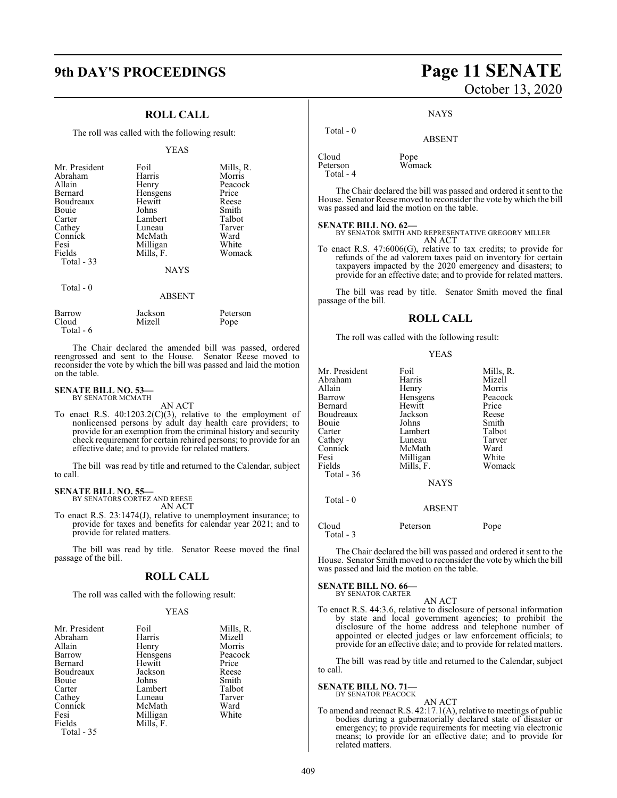#### **ROLL CALL**

The roll was called with the following result:

#### YEAS

| Mr. President<br>Abraham<br>Allain<br>Bernard<br>Boudreaux<br><b>Bouje</b><br>Carter<br>Cathey<br>Connick<br>Fesi<br>Fields<br>Total $-33$ | Foil<br>Harris<br>Henry<br>Hensgens<br>Hewitt<br>Johns<br>Lambert<br>Luneau<br>McMath<br>Milligan<br>Mills, F. | Mills, R.<br>Morris<br>Peacock<br>Price<br>Reese<br>Smith<br>Talbot<br>Tarver<br>Ward<br>White<br>Womack |
|--------------------------------------------------------------------------------------------------------------------------------------------|----------------------------------------------------------------------------------------------------------------|----------------------------------------------------------------------------------------------------------|
|                                                                                                                                            | <b>NAYS</b>                                                                                                    |                                                                                                          |
| Total - 0                                                                                                                                  | <b>ABSENT</b>                                                                                                  |                                                                                                          |

| Barrow    | Jackson | Peterson |
|-----------|---------|----------|
| Cloud     | Mizell  | Pope     |
| Total - 6 |         |          |

The Chair declared the amended bill was passed, ordered reengrossed and sent to the House. Senator Reese moved to reconsider the vote by which the bill was passed and laid the motion on the table.

#### **SENATE BILL NO. 53—** BY SENATOR MCMATH

AN ACT

To enact R.S. 40:1203.2(C)(3), relative to the employment of nonlicensed persons by adult day health care providers; to provide for an exemption from the criminal history and security check requirement for certain rehired persons; to provide for an effective date; and to provide for related matters.

The bill was read by title and returned to the Calendar, subject to call.

#### **SENATE BILL NO. 55—** BY SENATORS CORTEZ AND REESE

AN ACT

To enact R.S. 23:1474(J), relative to unemployment insurance; to provide for taxes and benefits for calendar year 2021; and to provide for related matters.

The bill was read by title. Senator Reese moved the final passage of the bill.

#### **ROLL CALL**

The roll was called with the following result:

#### YEAS

| Mr. President | Foil      | Mills, R. |
|---------------|-----------|-----------|
| Abraham       | Harris    | Mizell    |
| Allain        | Henry     | Morris    |
| Barrow        | Hensgens  | Peacock   |
| Bernard       | Hewitt    | Price     |
| Boudreaux     | Jackson   | Reese     |
| Bouie         | Johns     | Smith     |
| Carter        | Lambert   | Talbot    |
| Cathey        | Luneau    | Tarver    |
| Connick       | McMath    | Ward      |
| Fesi          | Milligan  | White     |
| Fields        | Mills, F. |           |
| Total - 35    |           |           |

## **9th DAY'S PROCEEDINGS Page 11 SENATE** October 13, 2020

**NAYS** 

ABSENT

Womack

| Pope<br>Wom |
|-------------|
|             |

Total - 0

The Chair declared the bill was passed and ordered it sent to the House. Senator Reese moved to reconsider the vote by which the bill was passed and laid the motion on the table.

#### **SENATE BILL NO. 62—**

BY SENATOR SMITH AND REPRESENTATIVE GREGORY MILLER AN ACT

To enact R.S. 47:6006(G), relative to tax credits; to provide for refunds of the ad valorem taxes paid on inventory for certain taxpayers impacted by the 2020 emergency and disasters; to provide for an effective date; and to provide for related matters.

The bill was read by title. Senator Smith moved the final passage of the bill.

#### **ROLL CALL**

The roll was called with the following result:

#### YEAS

| Mr. President<br>Abraham<br>Allain<br>Barrow<br>Bernard<br>Boudreaux<br>Bouie<br>Carter<br>Cathey<br>Connick<br>Fesi<br>Fields<br>Total - 36 | Foil<br>Harris<br>Henry<br>Hensgens<br>Hewitt<br>Jackson<br>Johns<br>Lambert<br>Luneau<br>McMath<br>Milligan<br>Mills, F.<br><b>NAYS</b> | Mills, R.<br>Mizell<br>Morris<br>Peacock<br>Price<br>Reese<br>Smith<br>Talbot<br>Tarver<br>Ward<br>White<br>Womack |
|----------------------------------------------------------------------------------------------------------------------------------------------|------------------------------------------------------------------------------------------------------------------------------------------|--------------------------------------------------------------------------------------------------------------------|
| Total - 0                                                                                                                                    | <b>ABSENT</b>                                                                                                                            |                                                                                                                    |
| Cloud                                                                                                                                        | Peterson                                                                                                                                 | Pope                                                                                                               |

The Chair declared the bill was passed and ordered it sent to the House. Senator Smith moved to reconsider the vote by which the bill was passed and laid the motion on the table.

#### **SENATE BILL NO. 66—** BY SENATOR CARTER

Total - 3

AN ACT

To enact R.S. 44:3.6, relative to disclosure of personal information by state and local government agencies; to prohibit the disclosure of the home address and telephone number of appointed or elected judges or law enforcement officials; to provide for an effective date; and to provide for related matters.

The bill was read by title and returned to the Calendar, subject to call.

## **SENATE BILL NO. 71—**<br>BY SENATOR PEACOCK

AN ACT To amend and reenact R.S. 42:17.1(A), relative to meetings of public bodies during a gubernatorially declared state of disaster or emergency; to provide requirements for meeting via electronic means; to provide for an effective date; and to provide for related matters.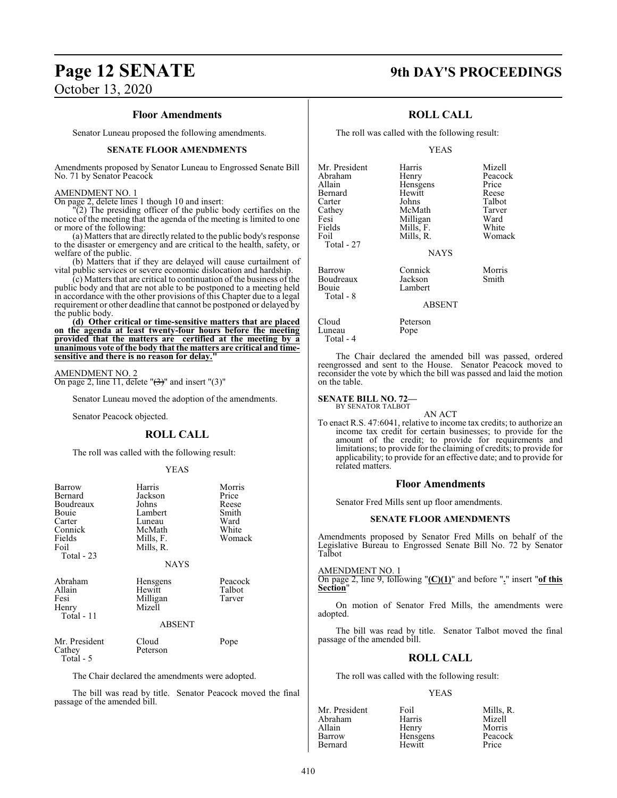## **Page 12 SENATE 9th DAY'S PROCEEDINGS**

## **Floor Amendments**

Senator Luneau proposed the following amendments.

#### **SENATE FLOOR AMENDMENTS**

Amendments proposed by Senator Luneau to Engrossed Senate Bill No. 71 by Senator Peacock

#### AMENDMENT NO. 1

On page 2, delete lines 1 though 10 and insert:

(2) The presiding officer of the public body certifies on the notice of the meeting that the agenda of the meeting is limited to one or more of the following:

(a) Matters that are directly related to the public body's response to the disaster or emergency and are critical to the health, safety, or welfare of the public.

(b) Matters that if they are delayed will cause curtailment of vital public services or severe economic dislocation and hardship.

(c) Matters that are critical to continuation of the business of the public body and that are not able to be postponed to a meeting held in accordance with the other provisions of this Chapter due to a legal requirement or other deadline that cannot be postponed or delayed by the public body.

**(d) Other critical or time-sensitive matters that are placed on the agenda at least twenty-four hours before the meeting provided that the matters are certified at the meeting by a unanimous vote of the body that the matters are critical and timesensitive and there is no reason for delay."**

AMENDMENT NO. 2 On page 2, line 11, delete " $(3)$ " and insert " $(3)$ "

Senator Luneau moved the adoption of the amendments.

Senator Peacock objected.

#### **ROLL CALL**

The roll was called with the following result:

#### YEAS

| Barrow<br>Bernard<br>Boudreaux<br>Bouie<br>Carter<br>Connick<br>Fields<br>Foil<br>Total $-23$ | Harris<br>Jackson<br>Johns<br>Lambert<br>Luneau<br>McMath<br>Mills, F.<br>Mills, R.<br><b>NAYS</b> | Morris<br>Price<br>Reese<br>Smith<br>Ward<br>White<br>Womack |
|-----------------------------------------------------------------------------------------------|----------------------------------------------------------------------------------------------------|--------------------------------------------------------------|
| Abraham<br>Allain<br>Fesi<br>Henry<br>Total - 11                                              | Hensgens<br>Hewitt<br>Milligan<br>Mizell<br>ABSENT                                                 | Peacock<br>Talbot<br>Tarver                                  |
| Mr. President<br>Cathey<br>Total - 5                                                          | Cloud<br>Peterson                                                                                  | Pope                                                         |

The Chair declared the amendments were adopted.

The bill was read by title. Senator Peacock moved the final passage of the amended bill.

#### **ROLL CALL**

The roll was called with the following result:

#### YEAS

| Mr. President<br>Abraham<br>Allain<br>Bernard<br>Carter<br>Cathey<br>Fesi<br>Fields<br>Foil<br>Total - 27 | Harris<br>Henry<br>Hensgens<br>Hewitt<br>Johns<br>McMath<br>Milligan<br>Mills, F.<br>Mills, R.<br><b>NAYS</b> | Mizell<br>Peacock<br>Price<br>Reese<br>Talbot<br>Tarver<br>Ward<br>White<br>Womack |
|-----------------------------------------------------------------------------------------------------------|---------------------------------------------------------------------------------------------------------------|------------------------------------------------------------------------------------|
| Barrow<br>Boudreaux<br>Bouie<br>Total - 8                                                                 | Connick<br>Jackson<br>Lambert                                                                                 | Morris<br>Smith                                                                    |
|                                                                                                           | $\lambda$ DOD $\lambda$ IT                                                                                    |                                                                                    |

#### ABSENT

Cloud Peterson<br>Luneau Pope

The Chair declared the amended bill was passed, ordered reengrossed and sent to the House. Senator Peacock moved to reconsider the vote by which the bill was passed and laid the motion on the table.

#### **SENATE BILL NO. 72—**

Luneau Total - 4

> BY SENATOR TALBOT AN ACT

To enact R.S. 47:6041, relative to income tax credits; to authorize an income tax credit for certain businesses; to provide for the amount of the credit; to provide for requirements and limitations; to provide for the claiming of credits; to provide for applicability; to provide for an effective date; and to provide for related matters.

#### **Floor Amendments**

Senator Fred Mills sent up floor amendments.

#### **SENATE FLOOR AMENDMENTS**

Amendments proposed by Senator Fred Mills on behalf of the Legislative Bureau to Engrossed Senate Bill No. 72 by Senator Talbot

#### AMENDMENT NO. 1

On page 2, line 9, following "**(C)(1)**" and before "**.**" insert "**of this Section**"

On motion of Senator Fred Mills, the amendments were adopted.

The bill was read by title. Senator Talbot moved the final passage of the amended bill.

#### **ROLL CALL**

The roll was called with the following result:

| Mr. President | Foil     | Mills, R. |
|---------------|----------|-----------|
| Abraham       | Harris   | Mizell    |
| Allain        | Henry    | Morris    |
| Barrow        | Hensgens | Peacock   |
| Bernard       | Hewitt   | Price     |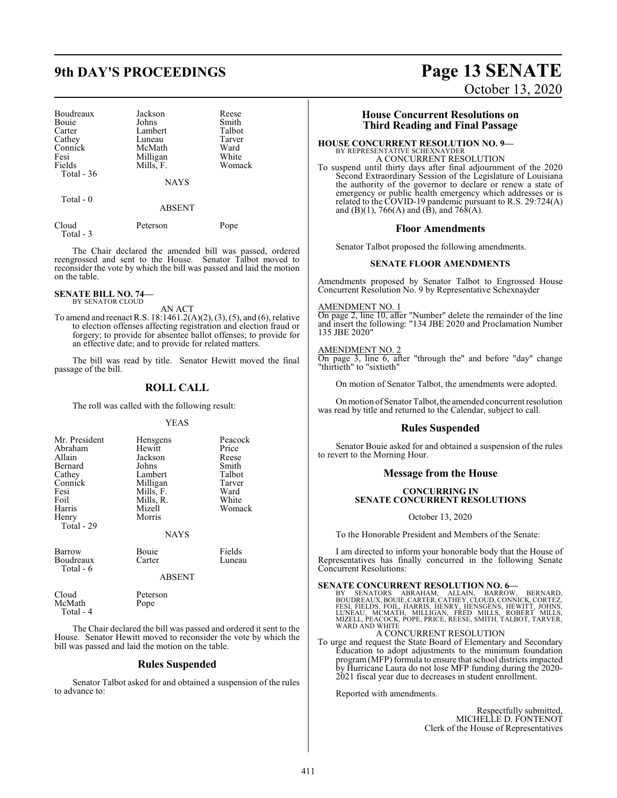| Boudreaux   | Jackson     | Reese  |
|-------------|-------------|--------|
| Bouie       | Johns       | Smith  |
| Carter      | Lambert     | Talbot |
| Cathey      | Luneau      | Tarver |
| Connick     | McMath      | Ward   |
| Fesi        | Milligan    | White  |
| Fields      | Mills, F.   | Womack |
| Total $-36$ |             |        |
|             | <b>NAYS</b> |        |
|             |             |        |

Total - 0

ABSENT

| Cloud     | Peterson | Pope |
|-----------|----------|------|
| Total - 3 |          |      |

The Chair declared the amended bill was passed, ordered reengrossed and sent to the House. Senator Talbot moved to reconsider the vote by which the bill was passed and laid the motion on the table.

#### **SENATE BILL NO. 74—** BY SENATOR CLOUD

AN ACT

To amend and reenact R.S. 18:1461.2(A)(2), (3), (5), and (6), relative to election offenses affecting registration and election fraud or forgery; to provide for absentee ballot offenses; to provide for an effective date; and to provide for related matters.

The bill was read by title. Senator Hewitt moved the final passage of the bill.

### **ROLL CALL**

The roll was called with the following result:

#### YEAS

| Mr. President<br>Abraham<br>Allain<br>Bernard<br>Cathey<br>Connick<br>Fesi<br>Foil<br>Harris<br>Henry | Hensgens<br>Hewitt<br>Jackson<br>Johns<br>Lambert<br>Milligan<br>Mills, F.<br>Mills, R.<br>Mizell<br>Morris | Peacock<br>Price<br>Reese<br>Smith<br>Talbot<br>Tarver<br>Ward<br>White<br>Womack |
|-------------------------------------------------------------------------------------------------------|-------------------------------------------------------------------------------------------------------------|-----------------------------------------------------------------------------------|
| Total - 29                                                                                            | <b>NAYS</b>                                                                                                 |                                                                                   |
| Barrow<br>Boudreaux                                                                                   | Bouie<br>Carter                                                                                             | Fields<br>Luneau                                                                  |

#### ABSENT

| Cloud     | Peterson |  |
|-----------|----------|--|
| McMath    | Pope     |  |
| Total - 4 |          |  |

Total - 6

The Chair declared the bill was passed and ordered it sent to the House. Senator Hewitt moved to reconsider the vote by which the bill was passed and laid the motion on the table.

#### **Rules Suspended**

Senator Talbot asked for and obtained a suspension of the rules to advance to:

## **9th DAY'S PROCEEDINGS Page 13 SENATE** October 13, 2020

### **House Concurrent Resolutions on Third Reading and Final Passage**

#### **HOUSE CONCURRENT RESOLUTION NO. 9—**

BY REPRESENTATIVE SCHEXNAYDER A CONCURRENT RESOLUTION To suspend until thirty days after final adjournment of the 2020 Second Extraordinary Session of the Legislature of Louisiana the authority of the governor to declare or renew a state of

emergency or public health emergency which addresses or is related to the COVID-19 pandemic pursuant to R.S. 29:724(A) and (B)(1), 766(A) and (B), and 768(A).

#### **Floor Amendments**

Senator Talbot proposed the following amendments.

#### **SENATE FLOOR AMENDMENTS**

Amendments proposed by Senator Talbot to Engrossed House Concurrent Resolution No. 9 by Representative Schexnayder

#### AMENDMENT NO. 1

On page 2, line 10, after "Number" delete the remainder of the line and insert the following: "134 JBE 2020 and Proclamation Number 135 JBE 2020"

#### AMENDMENT NO. 2

On page 3, line 6, after "through the" and before "day" change "thirtieth" to "sixtieth"

On motion of Senator Talbot, the amendments were adopted.

On motion of Senator Talbot, the amended concurrent resolution was read by title and returned to the Calendar, subject to call.

#### **Rules Suspended**

Senator Bouie asked for and obtained a suspension of the rules to revert to the Morning Hour.

## **Message from the House**

#### **CONCURRING IN SENATE CONCURRENT RESOLUTIONS**

October 13, 2020

To the Honorable President and Members of the Senate:

I am directed to inform your honorable body that the House of Representatives has finally concurred in the following Senate Concurrent Resolutions:

SENATE CONCURRENT RESOLUTION NO. 6-<br>BY SENATORS ABRAHAM, ALLAIN, BARROW, BERNARD,<br>BOUDREAUX, BOULE, CARTER, CATHEY, CLOUD, CONNICK, CORTEZ,<br>FESI, FIELDS, FOIL, HARRIS, HENRY, HENSGENS, HEWITT, JOHNS,<br>LUNEAU, MCMATH, MILLIG

#### A CONCURRENT RESOLUTION

To urge and request the State Board of Elementary and Secondary Education to adopt adjustments to the minimum foundation program(MFP) formula to ensure that school districts impacted by Hurricane Laura do not lose MFP funding during the 2020- 2021 fiscal year due to decreases in student enrollment.

Reported with amendments.

Respectfully submitted, MICHELLE D. FONTENOT Clerk of the House of Representatives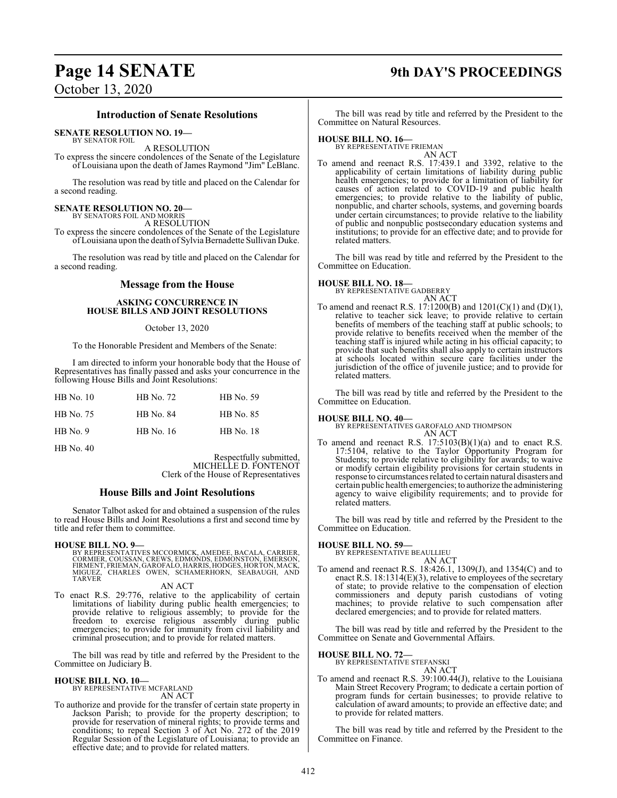# **Page 14 SENATE 9th DAY'S PROCEEDINGS**

October 13, 2020

#### **Introduction of Senate Resolutions**

**SENATE RESOLUTION NO. 19—**

BY SENATOR FOIL

A RESOLUTION To express the sincere condolences of the Senate of the Legislature of Louisiana upon the death of James Raymond "Jim" LeBlanc.

The resolution was read by title and placed on the Calendar for a second reading.

# **SENATE RESOLUTION NO. 20—** BY SENATORS FOIL AND MORRIS

A RESOLUTION

To express the sincere condolences of the Senate of the Legislature ofLouisiana upon the death of Sylvia Bernadette Sullivan Duke.

The resolution was read by title and placed on the Calendar for a second reading.

#### **Message from the House**

#### **ASKING CONCURRENCE IN HOUSE BILLS AND JOINT RESOLUTIONS**

#### October 13, 2020

To the Honorable President and Members of the Senate:

I am directed to inform your honorable body that the House of Representatives has finally passed and asks your concurrence in the following House Bills and Joint Resolutions:

| HB No. 10 | HB No. 72        | HB No. 59        |
|-----------|------------------|------------------|
| HB No. 75 | <b>HB</b> No. 84 | HB No. 85        |
| HB No. 9  | HB No. 16        | <b>HB</b> No. 18 |

HB No. 40

Respectfully submitted, MICHELLE D. FONTENOT Clerk of the House of Representatives

## **House Bills and Joint Resolutions**

Senator Talbot asked for and obtained a suspension of the rules to read House Bills and Joint Resolutions a first and second time by title and refer them to committee.

#### **HOUSE BILL NO. 9—**

BY REPRESENTATIVES MCCORMICK, AMEDEE, BACALA, CARRIER,<br>CORMIER, COUSSAN, CREWS, EDMONDS, EDMONSTON, EMERSON,<br>FIRMENT, FRIEMAN, GAROFALO, HARRIS, HODGES, HORTON, MACK,<br>MIGUEZ, CHARLES OWEN, SCHAMERHORN, SEABAUGH, TARVER

AN ACT

To enact R.S. 29:776, relative to the applicability of certain limitations of liability during public health emergencies; to provide relative to religious assembly; to provide for the freedom to exercise religious assembly during public emergencies; to provide for immunity from civil liability and criminal prosecution; and to provide for related matters.

The bill was read by title and referred by the President to the Committee on Judiciary B.

#### **HOUSE BILL NO. 10—**

BY REPRESENTATIVE MCFARLAND AN ACT

To authorize and provide for the transfer of certain state property in Jackson Parish; to provide for the property description; to provide for reservation of mineral rights; to provide terms and conditions; to repeal Section 3 of Act No. 272 of the 2019 Regular Session of the Legislature of Louisiana; to provide an effective date; and to provide for related matters.

The bill was read by title and referred by the President to the Committee on Natural Resources.

#### **HOUSE BILL NO. 16—**

BY REPRESENTATIVE FRIEMAN

AN ACT To amend and reenact R.S. 17:439.1 and 3392, relative to the applicability of certain limitations of liability during public health emergencies; to provide for a limitation of liability for causes of action related to COVID-19 and public health emergencies; to provide relative to the liability of public, nonpublic, and charter schools, systems, and governing boards under certain circumstances; to provide relative to the liability of public and nonpublic postsecondary education systems and institutions; to provide for an effective date; and to provide for related matters.

The bill was read by title and referred by the President to the Committee on Education.

## **HOUSE BILL NO. 18—** BY REPRESENTATIVE GADBERRY

AN ACT

To amend and reenact R.S.  $17:1200(B)$  and  $1201(C)(1)$  and  $(D)(1)$ , relative to teacher sick leave; to provide relative to certain benefits of members of the teaching staff at public schools; to provide relative to benefits received when the member of the teaching staff is injured while acting in his official capacity; to provide that such benefits shall also apply to certain instructors at schools located within secure care facilities under the jurisdiction of the office of juvenile justice; and to provide for related matters.

The bill was read by title and referred by the President to the Committee on Education.

#### **HOUSE BILL NO. 40—**

BY REPRESENTATIVES GAROFALO AND THOMPSON AN ACT

To amend and reenact R.S. 17:5103(B)(1)(a) and to enact R.S. 17:5104, relative to the Taylor Opportunity Program for Students; to provide relative to eligibility for awards; to waive or modify certain eligibility provisions for certain students in response to circumstances related to certain natural disasters and certain public health emergencies; to authorize the administering agency to waive eligibility requirements; and to provide for related matters.

The bill was read by title and referred by the President to the Committee on Education.

#### **HOUSE BILL NO. 59—**

BY REPRESENTATIVE BEAULLIEU AN ACT

To amend and reenact R.S. 18:426.1, 1309(J), and 1354(C) and to enact R.S. 18:1314(E)(3), relative to employees of the secretary of state; to provide relative to the compensation of election commissioners and deputy parish custodians of voting machines; to provide relative to such compensation after declared emergencies; and to provide for related matters.

The bill was read by title and referred by the President to the Committee on Senate and Governmental Affairs.

# **HOUSE BILL NO. 72—** BY REPRESENTATIVE STEFANSKI

AN ACT

To amend and reenact R.S. 39:100.44(J), relative to the Louisiana Main Street Recovery Program; to dedicate a certain portion of program funds for certain businesses; to provide relative to calculation of award amounts; to provide an effective date; and to provide for related matters.

The bill was read by title and referred by the President to the Committee on Finance.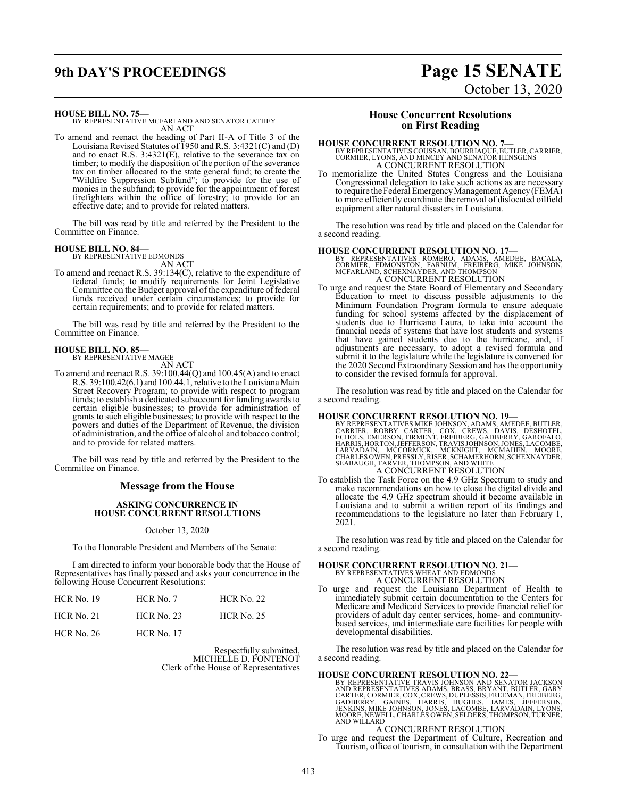# **9th DAY'S PROCEEDINGS Page 15 SENATE**

# October 13, 2020

**HOUSE BILL NO. 75—**

BY REPRESENTATIVE MCFARLAND AND SENATOR CATHEY AN ACT

To amend and reenact the heading of Part II-A of Title 3 of the Louisiana Revised Statutes of 1950 and R.S. 3:4321(C) and (D) and to enact R.S. 3:4321(E), relative to the severance tax on timber; to modify the disposition of the portion of the severance tax on timber allocated to the state general fund; to create the "Wildfire Suppression Subfund"; to provide for the use of monies in the subfund; to provide for the appointment of forest firefighters within the office of forestry; to provide for an effective date; and to provide for related matters.

The bill was read by title and referred by the President to the Committee on Finance.

#### **HOUSE BILL NO. 84—**

BY REPRESENTATIVE EDMONDS AN ACT

To amend and reenact R.S. 39:134(C), relative to the expenditure of federal funds; to modify requirements for Joint Legislative Committee on the Budget approval of the expenditure of federal funds received under certain circumstances; to provide for certain requirements; and to provide for related matters.

The bill was read by title and referred by the President to the Committee on Finance.

#### **HOUSE BILL NO. 85—**

BY REPRESENTATIVE MAGEE

- AN ACT
- To amend and reenact R.S. 39:100.44(Q) and 100.45(A) and to enact R.S. 39:100.42(6.1) and 100.44.1, relative to the Louisiana Main Street Recovery Program; to provide with respect to program funds; to establish a dedicated subaccount for funding awards to certain eligible businesses; to provide for administration of grants to such eligible businesses; to provide with respect to the powers and duties of the Department of Revenue, the division of administration, and the office of alcohol and tobacco control; and to provide for related matters.

The bill was read by title and referred by the President to the Committee on Finance.

#### **Message from the House**

#### **ASKING CONCURRENCE IN HOUSE CONCURRENT RESOLUTIONS**

October 13, 2020

To the Honorable President and Members of the Senate:

I am directed to inform your honorable body that the House of Representatives has finally passed and asks your concurrence in the following House Concurrent Resolutions:

| $HCR$ No. 19      | $HCR$ No. $7$     | <b>HCR No. 22</b> |
|-------------------|-------------------|-------------------|
| $HCR$ No. 21      | <b>HCR No. 23</b> | <b>HCR No. 25</b> |
| <b>HCR No. 26</b> | <b>HCR No. 17</b> |                   |

Respectfully submitted, MICHELLE D. FONTENOT Clerk of the House of Representatives

#### **House Concurrent Resolutions on First Reading**

**HOUSE CONCURRENT RESOLUTION NO. 7—**<br>BY REPRESENTATIVES COUSSAN, BOURRIAQUE, BUTLER, CARRIER, CORMIER, LYONS, AND MINCEY AND SENATOR HENSGENS A CONCURRENT RESOLUTION

To memorialize the United States Congress and the Louisiana Congressional delegation to take such actions as are necessary to require the Federal Emergency Management Agency (FEMA) to more efficiently coordinate the removal of dislocated oilfield equipment after natural disasters in Louisiana.

The resolution was read by title and placed on the Calendar for a second reading.

- **HOUSE CONCURRENT RESOLUTION NO. 17—**<br>
BY REPRESENTATIVES ROMERO, ADAMS, AMEDEE, BACALA,<br>
CORMIER, EDMONSTON, FARNUM, FREIBERG, MIKE JOHNSON,<br>
MCFARLAND, SCHEXNAYDER, AND THOMPSON A CONCURRENT RESOLUTION
- To urge and request the State Board of Elementary and Secondary Education to meet to discuss possible adjustments to the Minimum Foundation Program formula to ensure adequate funding for school systems affected by the displacement of students due to Hurricane Laura, to take into account the financial needs of systems that have lost students and systems that have gained students due to the hurricane, and, if adjustments are necessary, to adopt a revised formula and submit it to the legislature while the legislature is convened for the 2020 Second Extraordinary Session and has the opportunity to consider the revised formula for approval.

The resolution was read by title and placed on the Calendar for a second reading.

**HOUSE CONCURRENT RESOLUTION NO. 19—BY REPRESENTATIVES MIKE JOHNSON, ADAMS, AMEDEE, BUTLER, CORRIER, ROBBY CARTER, COX, CREWS, DANIS, DESHOTEL, ECHOLS, EMERSON, FIRMENT, FREIBERG, GADBERRY, GAROFALO, HARRIS, HORTON, JEFFER** A CONCURRENT RESOLUTION

To establish the Task Force on the 4.9 GHz Spectrum to study and make recommendations on how to close the digital divide and allocate the 4.9 GHz spectrum should it become available in Louisiana and to submit a written report of its findings and recommendations to the legislature no later than February 1, 2021.

The resolution was read by title and placed on the Calendar for a second reading.

# **HOUSE CONCURRENT RESOLUTION NO. 21—** BY REPRESENTATIVES WHEAT AND EDMONDS

A CONCURRENT RESOLUTION

To urge and request the Louisiana Department of Health to immediately submit certain documentation to the Centers for Medicare and Medicaid Services to provide financial relief for providers of adult day center services, home- and communitybased services, and intermediate care facilities for people with developmental disabilities.

The resolution was read by title and placed on the Calendar for a second reading.

#### **HOUSE CONCURRENT RESOLUTION NO. 22—**

BY REPRESENTATIVE TRAVIS JOHNSON AND SENATOR JACKSON AND REPRESENTATIVES ADAMS, BRASS, BRYANT, BUTLER, GARY CARTER, CORMIER, COX, CREWS, DUPLESSIS, FREEMAN, FREIBERG,<br>GADBERRY, GAINES, HARRIS, HUGHES, JAMES, JEFFERSON,<br>JENKINS, MIKE JOHNSON, JONES, LACOMBE, LARVADAIN, LYONS,<br>MOORE, NEWELL, CHARLES OWEN, SELDERS, THOMPSON, TURNER

A CONCURRENT RESOLUTION

To urge and request the Department of Culture, Recreation and Tourism, office of tourism, in consultation with the Department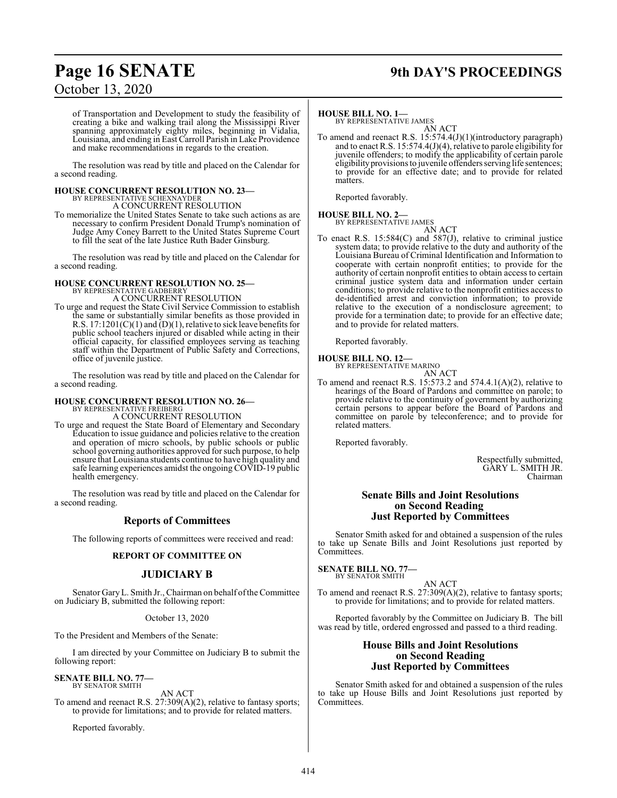## **Page 16 SENATE 9th DAY'S PROCEEDINGS**

## October 13, 2020

of Transportation and Development to study the feasibility of creating a bike and walking trail along the Mississippi River spanning approximately eighty miles, beginning in Vidalia, Louisiana, and ending in East Carroll Parish in Lake Providence and make recommendations in regards to the creation.

The resolution was read by title and placed on the Calendar for a second reading.

#### **HOUSE CONCURRENT RESOLUTION NO. 23—** BY REPRESENTATIVE SCHEXNAYDER

A CONCURRENT RESOLUTION

To memorialize the United States Senate to take such actions as are necessary to confirm President Donald Trump's nomination of Judge Amy Coney Barrett to the United States Supreme Court to fill the seat of the late Justice Ruth Bader Ginsburg.

The resolution was read by title and placed on the Calendar for a second reading.

# **HOUSE CONCURRENT RESOLUTION NO. 25—** BY REPRESENTATIVE GADBERRY

A CONCURRENT RESOLUTION

To urge and request the State Civil Service Commission to establish the same or substantially similar benefits as those provided in R.S. 17:1201(C)(1) and (D)(1), relative to sick leave benefits for public school teachers injured or disabled while acting in their official capacity, for classified employees serving as teaching staff within the Department of Public Safety and Corrections, office of juvenile justice.

The resolution was read by title and placed on the Calendar for a second reading.

#### **HOUSE CONCURRENT RESOLUTION NO. 26—**

BY REPRESENTATIVE FREIBERG A CONCURRENT RESOLUTION

To urge and request the State Board of Elementary and Secondary Education to issue guidance and policies relative to the creation and operation of micro schools, by public schools or public school governing authorities approved for such purpose, to help ensure that Louisiana students continue to have high quality and safe learning experiences amidst the ongoing COVID-19 public health emergency.

The resolution was read by title and placed on the Calendar for a second reading.

## **Reports of Committees**

The following reports of committees were received and read:

#### **REPORT OF COMMITTEE ON**

#### **JUDICIARY B**

Senator GaryL. Smith Jr., Chairman on behalf ofthe Committee on Judiciary B, submitted the following report:

#### October 13, 2020

To the President and Members of the Senate:

I am directed by your Committee on Judiciary B to submit the following report:

#### **SENATE BILL NO. 77—** BY SENATOR SMITH

AN ACT

To amend and reenact R.S. 27:309(A)(2), relative to fantasy sports; to provide for limitations; and to provide for related matters.

Reported favorably.

**HOUSE BILL NO. 1—** BY REPRESENTATIVE JAMES AN ACT

To amend and reenact R.S. 15:574.4(J)(1)(introductory paragraph) and to enact R.S. 15:574.4(J)(4), relative to parole eligibility for juvenile offenders; to modify the applicability of certain parole eligibility provisions to juvenile offenders serving life sentences; to provide for an effective date; and to provide for related matters.

Reported favorably.

#### **HOUSE BILL NO. 2—** BY REPRESENTATIVE JAMES

AN ACT

To enact R.S. 15:584(C) and 587(J), relative to criminal justice system data; to provide relative to the duty and authority of the Louisiana Bureau of Criminal Identification and Information to cooperate with certain nonprofit entities; to provide for the authority of certain nonprofit entities to obtain access to certain criminal justice system data and information under certain conditions; to provide relative to the nonprofit entities access to de-identified arrest and conviction information; to provide relative to the execution of a nondisclosure agreement; to provide for a termination date; to provide for an effective date; and to provide for related matters.

Reported favorably.

#### **HOUSE BILL NO. 12—**

BY REPRESENTATIVE MARINO AN ACT

To amend and reenact R.S. 15:573.2 and 574.4.1(A)(2), relative to hearings of the Board of Pardons and committee on parole; to provide relative to the continuity of government by authorizing certain persons to appear before the Board of Pardons and committee on parole by teleconference; and to provide for related matters.

Reported favorably.

Respectfully submitted, GARY L. SMITH JR. Chairman

#### **Senate Bills and Joint Resolutions on Second Reading Just Reported by Committees**

Senator Smith asked for and obtained a suspension of the rules to take up Senate Bills and Joint Resolutions just reported by Committees.

**SENATE BILL NO. 77—** BY SENATOR SMITH

AN ACT To amend and reenact R.S. 27:309(A)(2), relative to fantasy sports; to provide for limitations; and to provide for related matters.

Reported favorably by the Committee on Judiciary B. The bill was read by title, ordered engrossed and passed to a third reading.

#### **House Bills and Joint Resolutions on Second Reading Just Reported by Committees**

Senator Smith asked for and obtained a suspension of the rules to take up House Bills and Joint Resolutions just reported by Committees.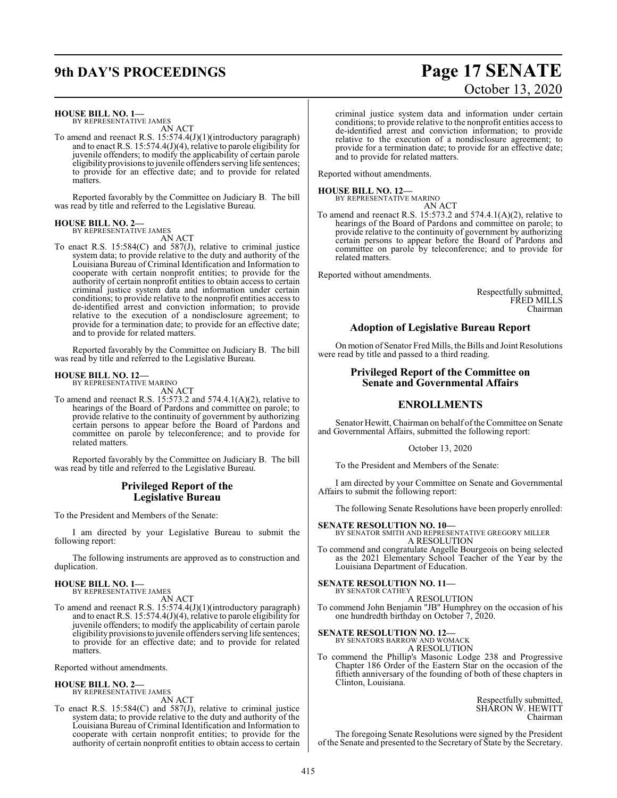## **9th DAY'S PROCEEDINGS Page 17 SENATE**

# October 13, 2020

**HOUSE BILL NO. 1—** BY REPRESENTATIVE JAMES AN ACT

To amend and reenact R.S. 15:574.4(J)(1)(introductory paragraph) and to enact R.S. 15:574.4(J)(4), relative to parole eligibility for juvenile offenders; to modify the applicability of certain parole eligibility provisions to juvenile offenders serving life sentences; to provide for an effective date; and to provide for related matters.

Reported favorably by the Committee on Judiciary B. The bill was read by title and referred to the Legislative Bureau.

# **HOUSE BILL NO. 2—** BY REPRESENTATIVE JAMES

AN ACT

To enact R.S. 15:584(C) and 587(J), relative to criminal justice system data; to provide relative to the duty and authority of the Louisiana Bureau of Criminal Identification and Information to cooperate with certain nonprofit entities; to provide for the authority of certain nonprofit entities to obtain access to certain criminal justice system data and information under certain conditions; to provide relative to the nonprofit entities access to de-identified arrest and conviction information; to provide relative to the execution of a nondisclosure agreement; to provide for a termination date; to provide for an effective date; and to provide for related matters.

Reported favorably by the Committee on Judiciary B. The bill was read by title and referred to the Legislative Bureau.

#### **HOUSE BILL NO. 12—** BY REPRESENTATIVE MARINO

AN ACT

To amend and reenact R.S. 15:573.2 and 574.4.1(A)(2), relative to hearings of the Board of Pardons and committee on parole; to provide relative to the continuity of government by authorizing certain persons to appear before the Board of Pardons and committee on parole by teleconference; and to provide for related matters.

Reported favorably by the Committee on Judiciary B. The bill was read by title and referred to the Legislative Bureau.

#### **Privileged Report of the Legislative Bureau**

To the President and Members of the Senate:

I am directed by your Legislative Bureau to submit the following report:

The following instruments are approved as to construction and duplication.

## **HOUSE BILL NO. 1—** BY REPRESENTATIVE JAMES

- AN ACT
- To amend and reenact R.S. 15:574.4(J)(1)(introductory paragraph) and to enact R.S. 15:574.4(J)(4), relative to parole eligibility for juvenile offenders; to modify the applicability of certain parole eligibility provisionsto juvenile offenders serving life sentences; to provide for an effective date; and to provide for related matters.

Reported without amendments.

# **HOUSE BILL NO. 2—** BY REPRESENTATIVE JAMES

AN ACT

To enact R.S. 15:584(C) and 587(J), relative to criminal justice system data; to provide relative to the duty and authority of the Louisiana Bureau of Criminal Identification and Information to cooperate with certain nonprofit entities; to provide for the authority of certain nonprofit entities to obtain access to certain

criminal justice system data and information under certain conditions; to provide relative to the nonprofit entities access to de-identified arrest and conviction information; to provide relative to the execution of a nondisclosure agreement; to provide for a termination date; to provide for an effective date; and to provide for related matters.

Reported without amendments.

#### **HOUSE BILL NO. 12—**

BY REPRESENTATIVE MARINO AN ACT

To amend and reenact R.S. 15:573.2 and 574.4.1(A)(2), relative to hearings of the Board of Pardons and committee on parole; to provide relative to the continuity of government by authorizing certain persons to appear before the Board of Pardons and committee on parole by teleconference; and to provide for related matters.

Reported without amendments.

Respectfully submitted, FRED MILLS Chairman

#### **Adoption of Legislative Bureau Report**

On motion of Senator Fred Mills, the Bills and Joint Resolutions were read by title and passed to a third reading.

#### **Privileged Report of the Committee on Senate and Governmental Affairs**

#### **ENROLLMENTS**

Senator Hewitt, Chairman on behalf of the Committee on Senate and Governmental Affairs, submitted the following report:

#### October 13, 2020

To the President and Members of the Senate:

I am directed by your Committee on Senate and Governmental Affairs to submit the following report:

The following Senate Resolutions have been properly enrolled:

**SENATE RESOLUTION NO. 10—** BY SENATOR SMITH AND REPRESENTATIVE GREGORY MILLER A RESOLUTION

To commend and congratulate Angelle Bourgeois on being selected as the 2021 Elementary School Teacher of the Year by the Louisiana Department of Education.

#### **SENATE RESOLUTION NO. 11—**

BY SENATOR CATHEY A RESOLUTION

To commend John Benjamin "JB" Humphrey on the occasion of his one hundredth birthday on October 7, 2020.

**SENATE RESOLUTION NO. 12—**

BY SENATORS BARROW AND WOMACK A RESOLUTION

To commend the Phillip's Masonic Lodge 238 and Progressive Chapter 186 Order of the Eastern Star on the occasion of the fiftieth anniversary of the founding of both of these chapters in Clinton, Louisiana.

> Respectfully submitted, SHARON W. HEWITT Chairman

The foregoing Senate Resolutions were signed by the President of the Senate and presented to the Secretary of State by the Secretary.